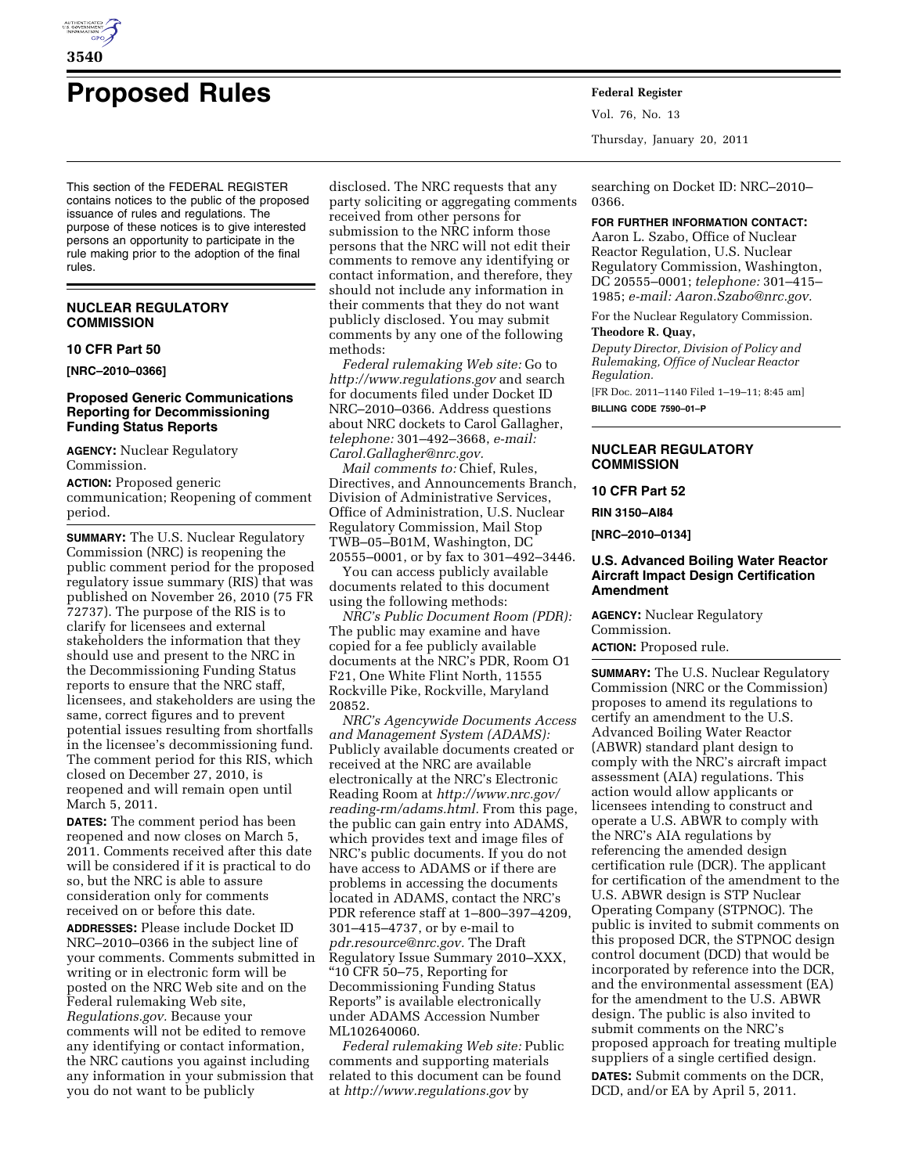

# **Proposed Rules Federal Register**

This section of the FEDERAL REGISTER contains notices to the public of the proposed issuance of rules and regulations. The purpose of these notices is to give interested persons an opportunity to participate in the rule making prior to the adoption of the final rules.

## **NUCLEAR REGULATORY COMMISSION**

#### **10 CFR Part 50**

**[NRC–2010–0366]** 

## **Proposed Generic Communications Reporting for Decommissioning Funding Status Reports**

**AGENCY:** Nuclear Regulatory Commission.

**ACTION:** Proposed generic communication; Reopening of comment

period.

**SUMMARY:** The U.S. Nuclear Regulatory Commission (NRC) is reopening the public comment period for the proposed regulatory issue summary (RIS) that was published on November 26, 2010 (75 FR 72737). The purpose of the RIS is to clarify for licensees and external stakeholders the information that they should use and present to the NRC in the Decommissioning Funding Status reports to ensure that the NRC staff, licensees, and stakeholders are using the same, correct figures and to prevent potential issues resulting from shortfalls in the licensee's decommissioning fund. The comment period for this RIS, which closed on December 27, 2010, is reopened and will remain open until March 5, 2011.

**DATES:** The comment period has been reopened and now closes on March 5, 2011. Comments received after this date will be considered if it is practical to do so, but the NRC is able to assure consideration only for comments received on or before this date.

**ADDRESSES:** Please include Docket ID NRC–2010–0366 in the subject line of your comments. Comments submitted in writing or in electronic form will be posted on the NRC Web site and on the Federal rulemaking Web site, *Regulations.gov.* Because your comments will not be edited to remove any identifying or contact information, the NRC cautions you against including any information in your submission that you do not want to be publicly

disclosed. The NRC requests that any party soliciting or aggregating comments received from other persons for submission to the NRC inform those persons that the NRC will not edit their comments to remove any identifying or contact information, and therefore, they should not include any information in their comments that they do not want publicly disclosed. You may submit comments by any one of the following methods:

*Federal rulemaking Web site:* Go to *<http://www.regulations.gov>* and search for documents filed under Docket ID NRC–2010–0366. Address questions about NRC dockets to Carol Gallagher, *telephone:* 301–492–3668, *e-mail: [Carol.Gallagher@nrc.gov.](mailto:Carol.Gallagher@nrc.gov)* 

*Mail comments to:* Chief, Rules, Directives, and Announcements Branch, Division of Administrative Services, Office of Administration, U.S. Nuclear Regulatory Commission, Mail Stop TWB–05–B01M, Washington, DC 20555–0001, or by fax to 301–492–3446.

You can access publicly available documents related to this document using the following methods:

*NRC's Public Document Room (PDR):*  The public may examine and have copied for a fee publicly available documents at the NRC's PDR, Room O1 F21, One White Flint North, 11555 Rockville Pike, Rockville, Maryland 20852.

*NRC's Agencywide Documents Access and Management System (ADAMS):*  Publicly available documents created or received at the NRC are available electronically at the NRC's Electronic Reading Room at *[http://www.nrc.gov/](http://www.nrc.gov/reading-rm/adams.html)  [reading-rm/adams.html.](http://www.nrc.gov/reading-rm/adams.html)* From this page, the public can gain entry into ADAMS, which provides text and image files of NRC's public documents. If you do not have access to ADAMS or if there are problems in accessing the documents located in ADAMS, contact the NRC's PDR reference staff at 1–800–397–4209, 301–415–4737, or by e-mail to *[pdr.resource@nrc.gov.](mailto:pdr.resource@nrc.gov)* The Draft Regulatory Issue Summary 2010–XXX, ''10 CFR 50–75, Reporting for Decommissioning Funding Status Reports'' is available electronically under ADAMS Accession Number ML102640060.

*Federal rulemaking Web site:* Public comments and supporting materials related to this document can be found at *<http://www.regulations.gov>* by

Vol. 76, No. 13 Thursday, January 20, 2011

searching on Docket ID: NRC–2010– 0366.

**FOR FURTHER INFORMATION CONTACT:** 

Aaron L. Szabo, Office of Nuclear Reactor Regulation, U.S. Nuclear Regulatory Commission, Washington, DC 20555–0001; *telephone:* 301–415– 1985; *e-mail: [Aaron.Szabo@nrc.gov.](mailto:Aaron.Szabo@nrc.gov)* 

For the Nuclear Regulatory Commission.

# **Theodore R. Quay,**

*Deputy Director, Division of Policy and Rulemaking, Office of Nuclear Reactor Regulation.* 

[FR Doc. 2011–1140 Filed 1–19–11; 8:45 am] **BILLING CODE 7590–01–P** 

## **NUCLEAR REGULATORY COMMISSION**

## **10 CFR Part 52**

**RIN 3150–AI84** 

**[NRC–2010–0134]** 

## **U.S. Advanced Boiling Water Reactor Aircraft Impact Design Certification Amendment**

**AGENCY:** Nuclear Regulatory Commission.

**ACTION:** Proposed rule.

**SUMMARY:** The U.S. Nuclear Regulatory Commission (NRC or the Commission) proposes to amend its regulations to certify an amendment to the U.S. Advanced Boiling Water Reactor (ABWR) standard plant design to comply with the NRC's aircraft impact assessment (AIA) regulations. This action would allow applicants or licensees intending to construct and operate a U.S. ABWR to comply with the NRC's AIA regulations by referencing the amended design certification rule (DCR). The applicant for certification of the amendment to the U.S. ABWR design is STP Nuclear Operating Company (STPNOC). The public is invited to submit comments on this proposed DCR, the STPNOC design control document (DCD) that would be incorporated by reference into the DCR, and the environmental assessment (EA) for the amendment to the U.S. ABWR design. The public is also invited to submit comments on the NRC's proposed approach for treating multiple suppliers of a single certified design. **DATES:** Submit comments on the DCR,

DCD, and/or EA by April 5, 2011.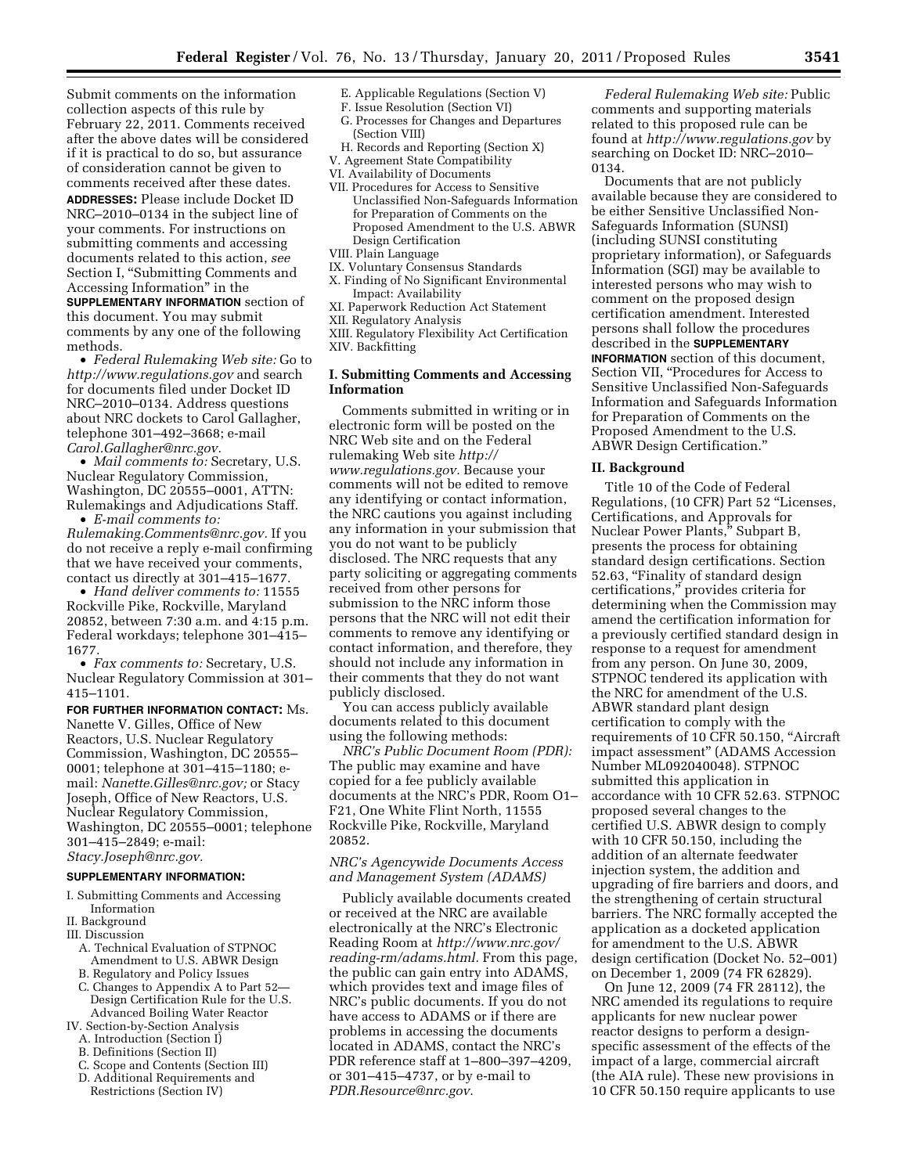Submit comments on the information collection aspects of this rule by February 22, 2011. Comments received after the above dates will be considered if it is practical to do so, but assurance of consideration cannot be given to comments received after these dates. **ADDRESSES:** Please include Docket ID NRC–2010–0134 in the subject line of your comments. For instructions on submitting comments and accessing documents related to this action, *see*  Section I, "Submitting Comments and Accessing Information'' in the **SUPPLEMENTARY INFORMATION** section of this document. You may submit comments by any one of the following methods.

• *Federal Rulemaking Web site:* Go to *<http://www.regulations.gov>* and search for documents filed under Docket ID NRC–2010–0134. Address questions about NRC dockets to Carol Gallagher, telephone 301–492–3668; e-mail *[Carol.Gallagher@nrc.gov.](mailto:Carol.Gallagher@nrc.gov)* 

• *Mail comments to:* Secretary, U.S. Nuclear Regulatory Commission, Washington, DC 20555–0001, ATTN: Rulemakings and Adjudications Staff.

• *E-mail comments to: [Rulemaking.Comments@nrc.gov.](mailto:Rulemaking.Comments@nrc.gov)* If you do not receive a reply e-mail confirming that we have received your comments, contact us directly at 301–415–1677.

• *Hand deliver comments to:* 11555 Rockville Pike, Rockville, Maryland 20852, between 7:30 a.m. and 4:15 p.m. Federal workdays; telephone 301–415– 1677.

• *Fax comments to:* Secretary, U.S. Nuclear Regulatory Commission at 301– 415–1101.

**FOR FURTHER INFORMATION CONTACT:** Ms. Nanette V. Gilles, Office of New Reactors, U.S. Nuclear Regulatory Commission, Washington, DC 20555– 0001; telephone at 301–415–1180; email: *[Nanette.Gilles@nrc.gov;](mailto:Nanette.Gilles@nrc.gov)* or Stacy Joseph, Office of New Reactors, U.S. Nuclear Regulatory Commission, Washington, DC 20555–0001; telephone 301–415–2849; e-mail: *[Stacy.Joseph@nrc.gov.](mailto:Stacy.Joseph@nrc.gov)* 

#### **SUPPLEMENTARY INFORMATION:**

- I. Submitting Comments and Accessing Information
- 
- II. Background III. Discussion
	- A. Technical Evaluation of STPNOC Amendment to U.S. ABWR Design
	- B. Regulatory and Policy Issues
	- C. Changes to Appendix A to Part 52— Design Certification Rule for the U.S. Advanced Boiling Water Reactor
- IV. Section-by-Section Analysis
	- A. Introduction (Section I)
	- B. Definitions (Section II)
	- C. Scope and Contents (Section III)
	- D. Additional Requirements and Restrictions (Section IV)
- E. Applicable Regulations (Section V)
- F. Issue Resolution (Section VI) G. Processes for Changes and Departures
- (Section VIII)
- H. Records and Reporting (Section X) V. Agreement State Compatibility
- VI. Availability of Documents
- VII. Procedures for Access to Sensitive Unclassified Non-Safeguards Information for Preparation of Comments on the Proposed Amendment to the U.S. ABWR Design Certification
- VIII. Plain Language
- IX. Voluntary Consensus Standards
- X. Finding of No Significant Environmental Impact: Availability
- XI. Paperwork Reduction Act Statement
- XII. Regulatory Analysis
- XIII. Regulatory Flexibility Act Certification
- XIV. Backfitting

## **I. Submitting Comments and Accessing Information**

Comments submitted in writing or in electronic form will be posted on the NRC Web site and on the Federal rulemaking Web site *[http://](http://www.regulations.gov)  [www.regulations.gov.](http://www.regulations.gov)* Because your comments will not be edited to remove any identifying or contact information, the NRC cautions you against including any information in your submission that you do not want to be publicly disclosed. The NRC requests that any party soliciting or aggregating comments received from other persons for submission to the NRC inform those persons that the NRC will not edit their comments to remove any identifying or contact information, and therefore, they should not include any information in their comments that they do not want publicly disclosed.

You can access publicly available documents related to this document using the following methods:

*NRC's Public Document Room (PDR):*  The public may examine and have copied for a fee publicly available documents at the NRC's PDR, Room O1– F21, One White Flint North, 11555 Rockville Pike, Rockville, Maryland 20852.

## *NRC's Agencywide Documents Access and Management System (ADAMS)*

Publicly available documents created or received at the NRC are available electronically at the NRC's Electronic Reading Room at *[http://www.nrc.gov/](http://www.nrc.gov/reading-rm/adams.html)  [reading-rm/adams.html.](http://www.nrc.gov/reading-rm/adams.html)* From this page, the public can gain entry into ADAMS, which provides text and image files of NRC's public documents. If you do not have access to ADAMS or if there are problems in accessing the documents located in ADAMS, contact the NRC's PDR reference staff at 1–800–397–4209, or 301–415–4737, or by e-mail to *[PDR.Resource@nrc.gov.](mailto:PDR.Resource@nrc.gov)* 

*Federal Rulemaking Web site:* Public comments and supporting materials related to this proposed rule can be found at *<http://www.regulations.gov>* by searching on Docket ID: NRC-2010-0134.

Documents that are not publicly available because they are considered to be either Sensitive Unclassified Non-Safeguards Information (SUNSI) (including SUNSI constituting proprietary information), or Safeguards Information (SGI) may be available to interested persons who may wish to comment on the proposed design certification amendment. Interested persons shall follow the procedures described in the **SUPPLEMENTARY INFORMATION** section of this document, Section VII, "Procedures for Access to Sensitive Unclassified Non-Safeguards Information and Safeguards Information for Preparation of Comments on the Proposed Amendment to the U.S. ABWR Design Certification.''

#### **II. Background**

Title 10 of the Code of Federal Regulations, (10 CFR) Part 52 ''Licenses, Certifications, and Approvals for Nuclear Power Plants,'' Subpart B, presents the process for obtaining standard design certifications. Section 52.63, ''Finality of standard design certifications,'' provides criteria for determining when the Commission may amend the certification information for a previously certified standard design in response to a request for amendment from any person. On June 30, 2009, STPNOC tendered its application with the NRC for amendment of the U.S. ABWR standard plant design certification to comply with the requirements of 10 CFR 50.150, ''Aircraft impact assessment'' (ADAMS Accession Number ML092040048). STPNOC submitted this application in accordance with 10 CFR 52.63. STPNOC proposed several changes to the certified U.S. ABWR design to comply with 10 CFR 50.150, including the addition of an alternate feedwater injection system, the addition and upgrading of fire barriers and doors, and the strengthening of certain structural barriers. The NRC formally accepted the application as a docketed application for amendment to the U.S. ABWR design certification (Docket No. 52–001) on December 1, 2009 (74 FR 62829).

On June 12, 2009 (74 FR 28112), the NRC amended its regulations to require applicants for new nuclear power reactor designs to perform a designspecific assessment of the effects of the impact of a large, commercial aircraft (the AIA rule). These new provisions in 10 CFR 50.150 require applicants to use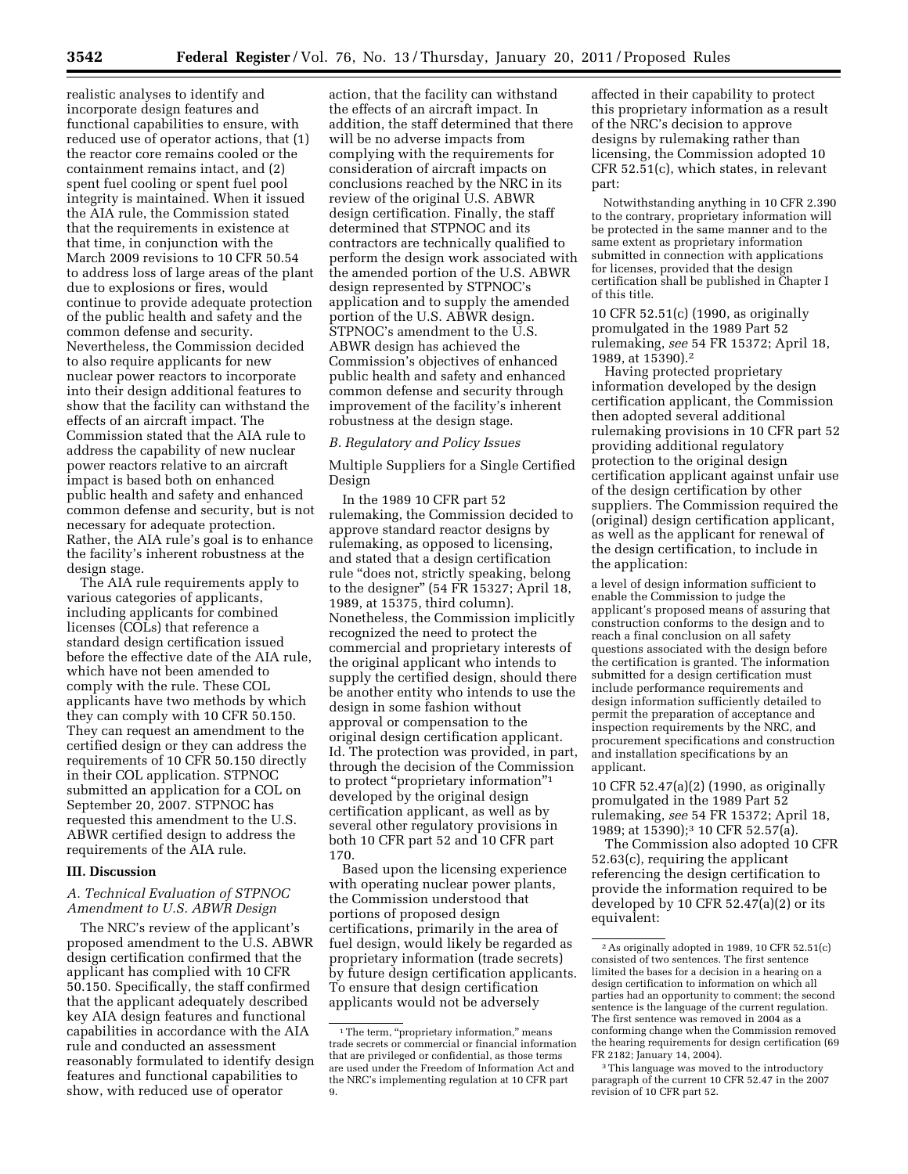realistic analyses to identify and incorporate design features and functional capabilities to ensure, with reduced use of operator actions, that (1) the reactor core remains cooled or the containment remains intact, and (2) spent fuel cooling or spent fuel pool integrity is maintained. When it issued the AIA rule, the Commission stated that the requirements in existence at that time, in conjunction with the March 2009 revisions to 10 CFR 50.54 to address loss of large areas of the plant due to explosions or fires, would continue to provide adequate protection of the public health and safety and the common defense and security. Nevertheless, the Commission decided to also require applicants for new nuclear power reactors to incorporate into their design additional features to show that the facility can withstand the effects of an aircraft impact. The Commission stated that the AIA rule to address the capability of new nuclear power reactors relative to an aircraft impact is based both on enhanced public health and safety and enhanced common defense and security, but is not necessary for adequate protection. Rather, the AIA rule's goal is to enhance the facility's inherent robustness at the design stage.

The AIA rule requirements apply to various categories of applicants, including applicants for combined licenses (COLs) that reference a standard design certification issued before the effective date of the AIA rule, which have not been amended to comply with the rule. These COL applicants have two methods by which they can comply with 10 CFR 50.150. They can request an amendment to the certified design or they can address the requirements of 10 CFR 50.150 directly in their COL application. STPNOC submitted an application for a COL on September 20, 2007. STPNOC has requested this amendment to the U.S. ABWR certified design to address the requirements of the AIA rule.

#### **III. Discussion**

## *A. Technical Evaluation of STPNOC Amendment to U.S. ABWR Design*

The NRC's review of the applicant's proposed amendment to the U.S. ABWR design certification confirmed that the applicant has complied with 10 CFR 50.150. Specifically, the staff confirmed that the applicant adequately described key AIA design features and functional capabilities in accordance with the AIA rule and conducted an assessment reasonably formulated to identify design features and functional capabilities to show, with reduced use of operator

action, that the facility can withstand the effects of an aircraft impact. In addition, the staff determined that there will be no adverse impacts from complying with the requirements for consideration of aircraft impacts on conclusions reached by the NRC in its review of the original U.S. ABWR design certification. Finally, the staff determined that STPNOC and its contractors are technically qualified to perform the design work associated with the amended portion of the U.S. ABWR design represented by STPNOC's application and to supply the amended portion of the U.S. ABWR design. STPNOC's amendment to the U.S. ABWR design has achieved the Commission's objectives of enhanced public health and safety and enhanced common defense and security through improvement of the facility's inherent robustness at the design stage.

#### *B. Regulatory and Policy Issues*

Multiple Suppliers for a Single Certified Design

In the 1989 10 CFR part 52 rulemaking, the Commission decided to approve standard reactor designs by rulemaking, as opposed to licensing, and stated that a design certification rule ''does not, strictly speaking, belong to the designer'' (54 FR 15327; April 18, 1989, at 15375, third column). Nonetheless, the Commission implicitly recognized the need to protect the commercial and proprietary interests of the original applicant who intends to supply the certified design, should there be another entity who intends to use the design in some fashion without approval or compensation to the original design certification applicant. Id. The protection was provided, in part, through the decision of the Commission to protect ''proprietary information''1 developed by the original design certification applicant, as well as by several other regulatory provisions in both 10 CFR part 52 and 10 CFR part 170.

Based upon the licensing experience with operating nuclear power plants, the Commission understood that portions of proposed design certifications, primarily in the area of fuel design, would likely be regarded as proprietary information (trade secrets) by future design certification applicants. To ensure that design certification applicants would not be adversely

affected in their capability to protect this proprietary information as a result of the NRC's decision to approve designs by rulemaking rather than licensing, the Commission adopted 10 CFR 52.51(c), which states, in relevant part:

Notwithstanding anything in 10 CFR 2.390 to the contrary, proprietary information will be protected in the same manner and to the same extent as proprietary information submitted in connection with applications for licenses, provided that the design certification shall be published in Chapter I of this title.

10 CFR 52.51(c) (1990, as originally promulgated in the 1989 Part 52 rulemaking, *see* 54 FR 15372; April 18, 1989, at 15390).2

Having protected proprietary information developed by the design certification applicant, the Commission then adopted several additional rulemaking provisions in 10 CFR part 52 providing additional regulatory protection to the original design certification applicant against unfair use of the design certification by other suppliers. The Commission required the (original) design certification applicant, as well as the applicant for renewal of the design certification, to include in the application:

a level of design information sufficient to enable the Commission to judge the applicant's proposed means of assuring that construction conforms to the design and to reach a final conclusion on all safety questions associated with the design before the certification is granted. The information submitted for a design certification must include performance requirements and design information sufficiently detailed to permit the preparation of acceptance and inspection requirements by the NRC, and procurement specifications and construction and installation specifications by an applicant.

10 CFR 52.47(a)(2) (1990, as originally promulgated in the 1989 Part 52 rulemaking, *see* 54 FR 15372; April 18, 1989; at 15390);<sup>3</sup> 10 CFR 52.57(a).

The Commission also adopted 10 CFR 52.63(c), requiring the applicant referencing the design certification to provide the information required to be developed by 10 CFR 52.47(a)(2) or its equivalent:

<sup>&</sup>lt;sup>1</sup>The term, "proprietary information," means trade secrets or commercial or financial information that are privileged or confidential, as those terms are used under the Freedom of Information Act and the NRC's implementing regulation at 10 CFR part 9.

<sup>2</sup>As originally adopted in 1989, 10 CFR 52.51(c) consisted of two sentences. The first sentence limited the bases for a decision in a hearing on a design certification to information on which all parties had an opportunity to comment; the second sentence is the language of the current regulation. The first sentence was removed in 2004 as a conforming change when the Commission removed the hearing requirements for design certification (69 FR 2182; January 14, 2004).

<sup>&</sup>lt;sup>3</sup>This language was moved to the introductory paragraph of the current 10 CFR 52.47 in the 2007 revision of 10 CFR part 52.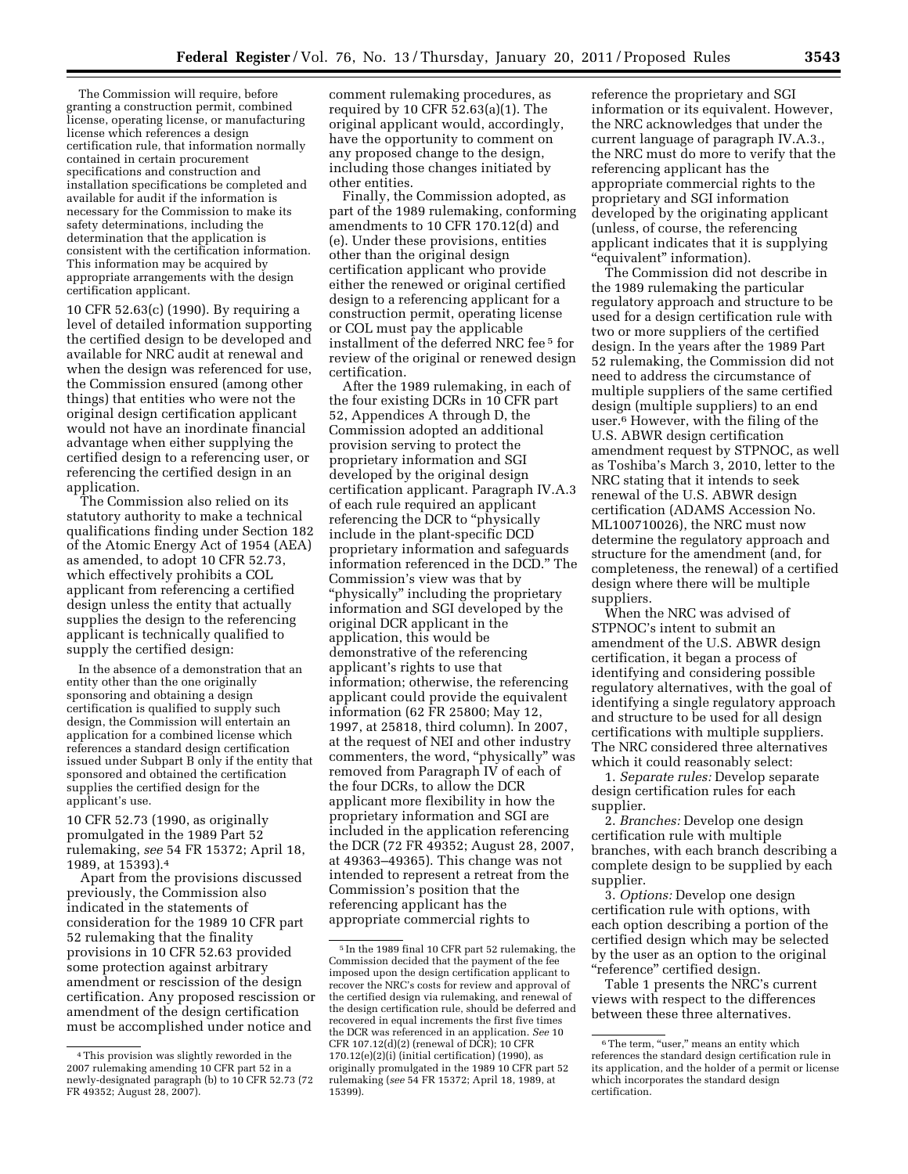The Commission will require, before granting a construction permit, combined license, operating license, or manufacturing license which references a design certification rule, that information normally contained in certain procurement specifications and construction and installation specifications be completed and available for audit if the information is necessary for the Commission to make its safety determinations, including the determination that the application is consistent with the certification information. This information may be acquired by appropriate arrangements with the design certification applicant.

10 CFR 52.63(c) (1990). By requiring a level of detailed information supporting the certified design to be developed and available for NRC audit at renewal and when the design was referenced for use, the Commission ensured (among other things) that entities who were not the original design certification applicant would not have an inordinate financial advantage when either supplying the certified design to a referencing user, or referencing the certified design in an application.

The Commission also relied on its statutory authority to make a technical qualifications finding under Section 182 of the Atomic Energy Act of 1954 (AEA) as amended, to adopt 10 CFR 52.73, which effectively prohibits a COL applicant from referencing a certified design unless the entity that actually supplies the design to the referencing applicant is technically qualified to supply the certified design:

In the absence of a demonstration that an entity other than the one originally sponsoring and obtaining a design certification is qualified to supply such design, the Commission will entertain an application for a combined license which references a standard design certification issued under Subpart B only if the entity that sponsored and obtained the certification supplies the certified design for the applicant's use.

10 CFR 52.73 (1990, as originally promulgated in the 1989 Part 52 rulemaking, *see* 54 FR 15372; April 18, 1989, at 15393).4

Apart from the provisions discussed previously, the Commission also indicated in the statements of consideration for the 1989 10 CFR part 52 rulemaking that the finality provisions in 10 CFR 52.63 provided some protection against arbitrary amendment or rescission of the design certification. Any proposed rescission or amendment of the design certification must be accomplished under notice and

comment rulemaking procedures, as required by 10 CFR 52.63(a)(1). The original applicant would, accordingly, have the opportunity to comment on any proposed change to the design, including those changes initiated by other entities.

Finally, the Commission adopted, as part of the 1989 rulemaking, conforming amendments to 10 CFR 170.12(d) and (e). Under these provisions, entities other than the original design certification applicant who provide either the renewed or original certified design to a referencing applicant for a construction permit, operating license or COL must pay the applicable installment of the deferred NRC fee 5 for review of the original or renewed design certification.

After the 1989 rulemaking, in each of the four existing DCRs in 10 CFR part 52, Appendices A through D, the Commission adopted an additional provision serving to protect the proprietary information and SGI developed by the original design certification applicant. Paragraph IV.A.3 of each rule required an applicant referencing the DCR to ''physically include in the plant-specific DCD proprietary information and safeguards information referenced in the DCD.'' The Commission's view was that by "physically" including the proprietary information and SGI developed by the original DCR applicant in the application, this would be demonstrative of the referencing applicant's rights to use that information; otherwise, the referencing applicant could provide the equivalent information (62 FR 25800; May 12, 1997, at 25818, third column). In 2007, at the request of NEI and other industry commenters, the word, "physically" was removed from Paragraph IV of each of the four DCRs, to allow the DCR applicant more flexibility in how the proprietary information and SGI are included in the application referencing the DCR (72 FR 49352; August 28, 2007, at 49363–49365). This change was not intended to represent a retreat from the Commission's position that the referencing applicant has the appropriate commercial rights to

reference the proprietary and SGI information or its equivalent. However, the NRC acknowledges that under the current language of paragraph IV.A.3., the NRC must do more to verify that the referencing applicant has the appropriate commercial rights to the proprietary and SGI information developed by the originating applicant (unless, of course, the referencing applicant indicates that it is supplying ''equivalent'' information).

The Commission did not describe in the 1989 rulemaking the particular regulatory approach and structure to be used for a design certification rule with two or more suppliers of the certified design. In the years after the 1989 Part 52 rulemaking, the Commission did not need to address the circumstance of multiple suppliers of the same certified design (multiple suppliers) to an end user.6 However, with the filing of the U.S. ABWR design certification amendment request by STPNOC, as well as Toshiba's March 3, 2010, letter to the NRC stating that it intends to seek renewal of the U.S. ABWR design certification (ADAMS Accession No. ML100710026), the NRC must now determine the regulatory approach and structure for the amendment (and, for completeness, the renewal) of a certified design where there will be multiple suppliers.

When the NRC was advised of STPNOC's intent to submit an amendment of the U.S. ABWR design certification, it began a process of identifying and considering possible regulatory alternatives, with the goal of identifying a single regulatory approach and structure to be used for all design certifications with multiple suppliers. The NRC considered three alternatives which it could reasonably select:

1. *Separate rules:* Develop separate design certification rules for each supplier.

2. *Branches:* Develop one design certification rule with multiple branches, with each branch describing a complete design to be supplied by each supplier.

3. *Options:* Develop one design certification rule with options, with each option describing a portion of the certified design which may be selected by the user as an option to the original ''reference'' certified design.

Table 1 presents the NRC's current views with respect to the differences between these three alternatives.

<sup>4</sup>This provision was slightly reworded in the 2007 rulemaking amending 10 CFR part 52 in a newly-designated paragraph (b) to 10 CFR 52.73 (72 FR 49352; August 28, 2007).

<sup>5</sup> In the 1989 final 10 CFR part 52 rulemaking, the Commission decided that the payment of the fee imposed upon the design certification applicant to recover the NRC's costs for review and approval of the certified design via rulemaking, and renewal of the design certification rule, should be deferred and recovered in equal increments the first five times the DCR was referenced in an application. *See* 10 CFR 107.12(d)(2) (renewal of DCR); 10 CFR 170.12(e)(2)(i) (initial certification) (1990), as originally promulgated in the 1989 10 CFR part 52 rulemaking (*see* 54 FR 15372; April 18, 1989, at 15399).

 $6$ The term, "user," means an entity which references the standard design certification rule in its application, and the holder of a permit or license which incorporates the standard design certification.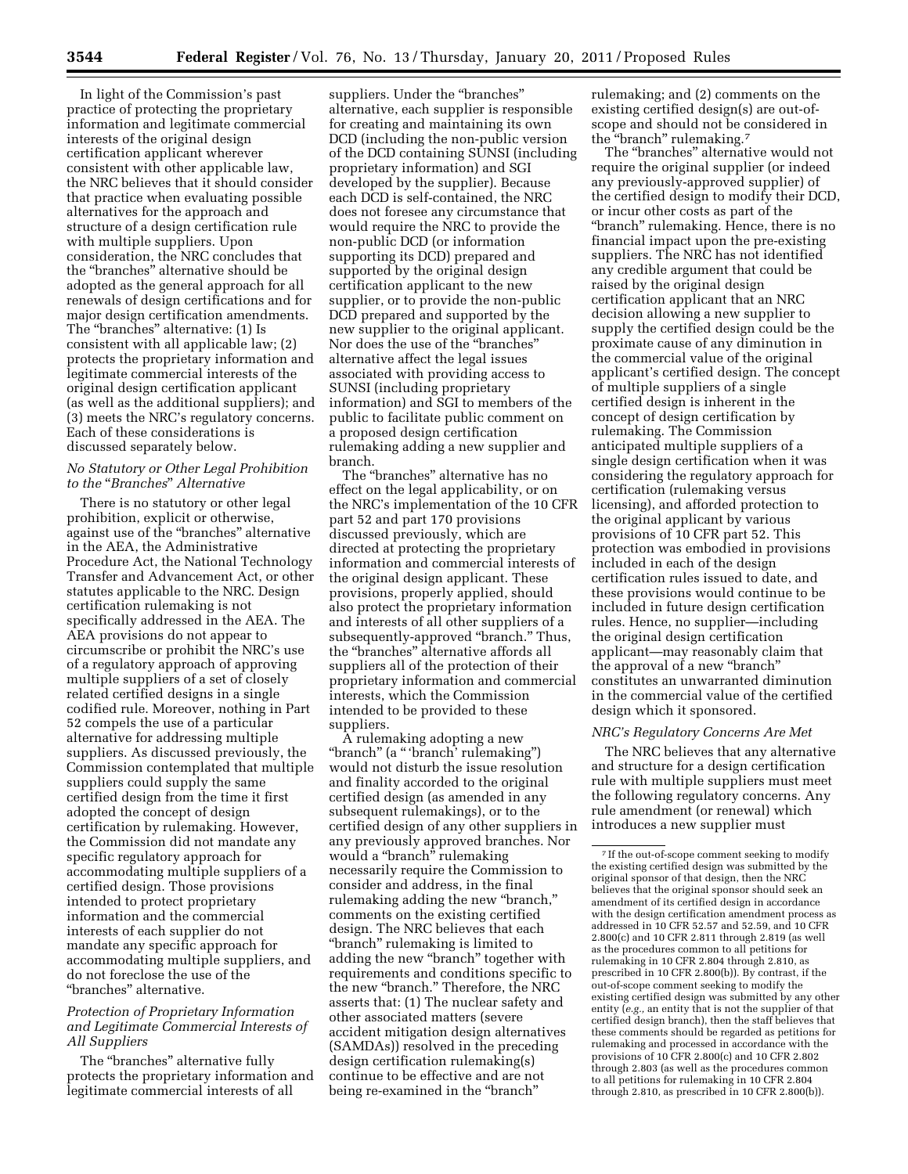In light of the Commission's past practice of protecting the proprietary information and legitimate commercial interests of the original design certification applicant wherever consistent with other applicable law, the NRC believes that it should consider that practice when evaluating possible alternatives for the approach and structure of a design certification rule with multiple suppliers. Upon consideration, the NRC concludes that the ''branches'' alternative should be adopted as the general approach for all renewals of design certifications and for major design certification amendments. The ''branches'' alternative: (1) Is consistent with all applicable law; (2) protects the proprietary information and legitimate commercial interests of the original design certification applicant (as well as the additional suppliers); and (3) meets the NRC's regulatory concerns. Each of these considerations is discussed separately below.

## *No Statutory or Other Legal Prohibition to the* ''*Branches*'' *Alternative*

There is no statutory or other legal prohibition, explicit or otherwise, against use of the ''branches'' alternative in the AEA, the Administrative Procedure Act, the National Technology Transfer and Advancement Act, or other statutes applicable to the NRC. Design certification rulemaking is not specifically addressed in the AEA. The AEA provisions do not appear to circumscribe or prohibit the NRC's use of a regulatory approach of approving multiple suppliers of a set of closely related certified designs in a single codified rule. Moreover, nothing in Part 52 compels the use of a particular alternative for addressing multiple suppliers. As discussed previously, the Commission contemplated that multiple suppliers could supply the same certified design from the time it first adopted the concept of design certification by rulemaking. However, the Commission did not mandate any specific regulatory approach for accommodating multiple suppliers of a certified design. Those provisions intended to protect proprietary information and the commercial interests of each supplier do not mandate any specific approach for accommodating multiple suppliers, and do not foreclose the use of the ''branches'' alternative.

## *Protection of Proprietary Information and Legitimate Commercial Interests of All Suppliers*

The "branches" alternative fully protects the proprietary information and legitimate commercial interests of all

suppliers. Under the "branches" alternative, each supplier is responsible for creating and maintaining its own DCD (including the non-public version of the DCD containing SUNSI (including proprietary information) and SGI developed by the supplier). Because each DCD is self-contained, the NRC does not foresee any circumstance that would require the NRC to provide the non-public DCD (or information supporting its DCD) prepared and supported by the original design certification applicant to the new supplier, or to provide the non-public DCD prepared and supported by the new supplier to the original applicant. Nor does the use of the "branches" alternative affect the legal issues associated with providing access to SUNSI (including proprietary information) and SGI to members of the public to facilitate public comment on a proposed design certification rulemaking adding a new supplier and branch.

The ''branches'' alternative has no effect on the legal applicability, or on the NRC's implementation of the 10 CFR part 52 and part 170 provisions discussed previously, which are directed at protecting the proprietary information and commercial interests of the original design applicant. These provisions, properly applied, should also protect the proprietary information and interests of all other suppliers of a subsequently-approved "branch." Thus, the ''branches'' alternative affords all suppliers all of the protection of their proprietary information and commercial interests, which the Commission intended to be provided to these suppliers.

A rulemaking adopting a new "branch" (a "'branch' rulemaking") would not disturb the issue resolution and finality accorded to the original certified design (as amended in any subsequent rulemakings), or to the certified design of any other suppliers in any previously approved branches. Nor would a ''branch'' rulemaking necessarily require the Commission to consider and address, in the final rulemaking adding the new "branch," comments on the existing certified design. The NRC believes that each ''branch'' rulemaking is limited to adding the new "branch" together with requirements and conditions specific to the new "branch." Therefore, the NRC asserts that: (1) The nuclear safety and other associated matters (severe accident mitigation design alternatives (SAMDAs)) resolved in the preceding design certification rulemaking(s) continue to be effective and are not being re-examined in the "branch"

rulemaking; and (2) comments on the existing certified design(s) are out-ofscope and should not be considered in the "branch" rulemaking.<sup>7</sup>

The "branches" alternative would not require the original supplier (or indeed any previously-approved supplier) of the certified design to modify their DCD, or incur other costs as part of the "branch" rulemaking. Hence, there is no financial impact upon the pre-existing suppliers. The NRC has not identified any credible argument that could be raised by the original design certification applicant that an NRC decision allowing a new supplier to supply the certified design could be the proximate cause of any diminution in the commercial value of the original applicant's certified design. The concept of multiple suppliers of a single certified design is inherent in the concept of design certification by rulemaking. The Commission anticipated multiple suppliers of a single design certification when it was considering the regulatory approach for certification (rulemaking versus licensing), and afforded protection to the original applicant by various provisions of 10 CFR part 52. This protection was embodied in provisions included in each of the design certification rules issued to date, and these provisions would continue to be included in future design certification rules. Hence, no supplier—including the original design certification applicant—may reasonably claim that the approval of a new ''branch'' constitutes an unwarranted diminution in the commercial value of the certified design which it sponsored.

## *NRC's Regulatory Concerns Are Met*

The NRC believes that any alternative and structure for a design certification rule with multiple suppliers must meet the following regulatory concerns. Any rule amendment (or renewal) which introduces a new supplier must

<sup>7</sup> If the out-of-scope comment seeking to modify the existing certified design was submitted by the original sponsor of that design, then the NRC believes that the original sponsor should seek an amendment of its certified design in accordance with the design certification amendment process as addressed in 10 CFR 52.57 and 52.59, and 10 CFR 2.800(c) and 10 CFR 2.811 through 2.819 (as well as the procedures common to all petitions for rulemaking in 10 CFR 2.804 through 2.810, as prescribed in 10 CFR 2.800(b)). By contrast, if the out-of-scope comment seeking to modify the existing certified design was submitted by any other entity (*e.g.,* an entity that is not the supplier of that certified design branch), then the staff believes that these comments should be regarded as petitions for rulemaking and processed in accordance with the provisions of 10 CFR 2.800(c) and 10 CFR 2.802 through 2.803 (as well as the procedures common to all petitions for rulemaking in 10 CFR 2.804 through 2.810, as prescribed in 10 CFR 2.800(b)).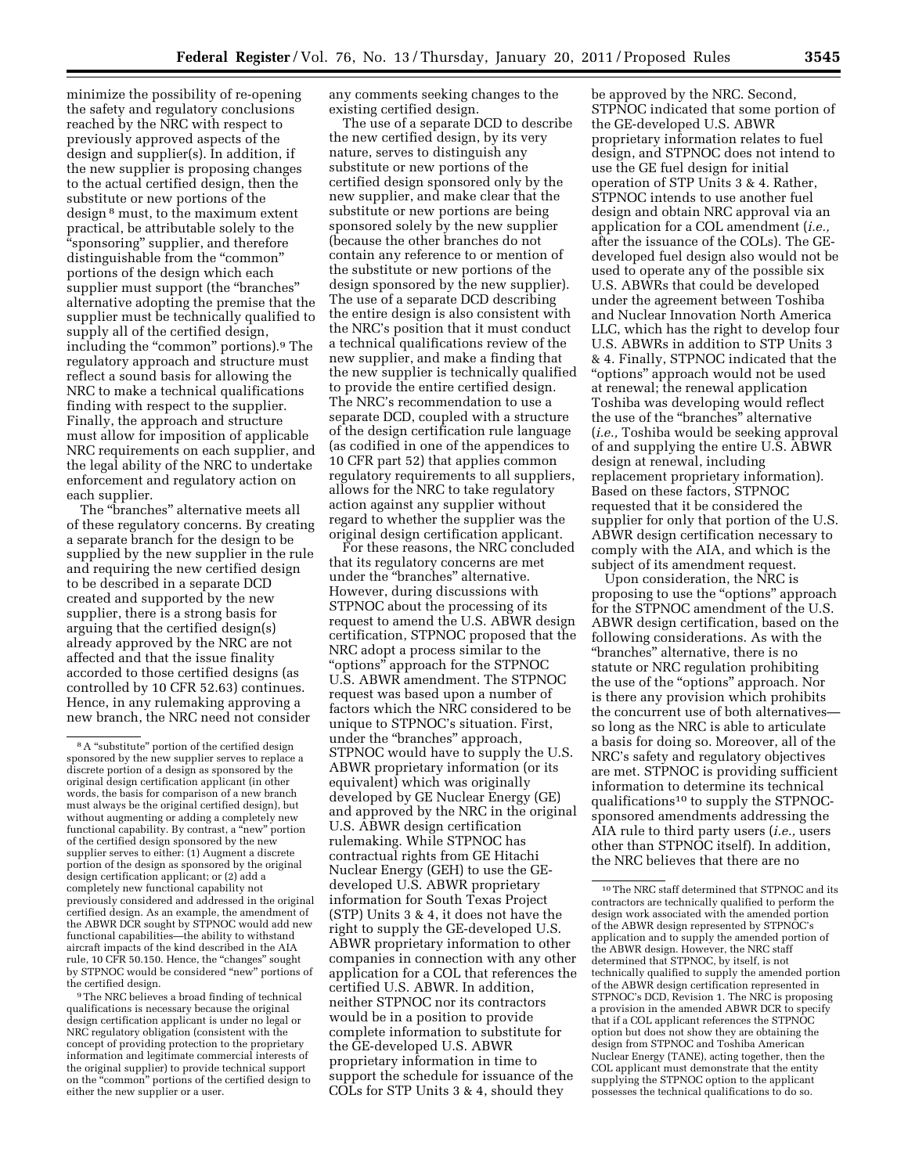minimize the possibility of re-opening the safety and regulatory conclusions reached by the NRC with respect to previously approved aspects of the design and supplier(s). In addition, if the new supplier is proposing changes to the actual certified design, then the substitute or new portions of the design 8 must, to the maximum extent practical, be attributable solely to the ''sponsoring'' supplier, and therefore distinguishable from the "common" portions of the design which each supplier must support (the ''branches'' alternative adopting the premise that the supplier must be technically qualified to supply all of the certified design, including the "common" portions).<sup>9</sup> The regulatory approach and structure must reflect a sound basis for allowing the NRC to make a technical qualifications finding with respect to the supplier. Finally, the approach and structure must allow for imposition of applicable NRC requirements on each supplier, and the legal ability of the NRC to undertake enforcement and regulatory action on each supplier.

The ''branches'' alternative meets all of these regulatory concerns. By creating a separate branch for the design to be supplied by the new supplier in the rule and requiring the new certified design to be described in a separate DCD created and supported by the new supplier, there is a strong basis for arguing that the certified design(s) already approved by the NRC are not affected and that the issue finality accorded to those certified designs (as controlled by 10 CFR 52.63) continues. Hence, in any rulemaking approving a new branch, the NRC need not consider

9The NRC believes a broad finding of technical qualifications is necessary because the original design certification applicant is under no legal or NRC regulatory obligation (consistent with the concept of providing protection to the proprietary information and legitimate commercial interests of the original supplier) to provide technical support on the ''common'' portions of the certified design to either the new supplier or a user.

any comments seeking changes to the existing certified design.

The use of a separate DCD to describe the new certified design, by its very nature, serves to distinguish any substitute or new portions of the certified design sponsored only by the new supplier, and make clear that the substitute or new portions are being sponsored solely by the new supplier (because the other branches do not contain any reference to or mention of the substitute or new portions of the design sponsored by the new supplier). The use of a separate DCD describing the entire design is also consistent with the NRC's position that it must conduct a technical qualifications review of the new supplier, and make a finding that the new supplier is technically qualified to provide the entire certified design. The NRC's recommendation to use a separate DCD, coupled with a structure of the design certification rule language (as codified in one of the appendices to 10 CFR part 52) that applies common regulatory requirements to all suppliers, allows for the NRC to take regulatory action against any supplier without regard to whether the supplier was the original design certification applicant.

For these reasons, the NRC concluded that its regulatory concerns are met under the ''branches'' alternative. However, during discussions with STPNOC about the processing of its request to amend the U.S. ABWR design certification, STPNOC proposed that the NRC adopt a process similar to the ''options'' approach for the STPNOC U.S. ABWR amendment. The STPNOC request was based upon a number of factors which the NRC considered to be unique to STPNOC's situation. First, under the ''branches'' approach, STPNOC would have to supply the U.S. ABWR proprietary information (or its equivalent) which was originally developed by GE Nuclear Energy (GE) and approved by the NRC in the original U.S. ABWR design certification rulemaking. While STPNOC has contractual rights from GE Hitachi Nuclear Energy (GEH) to use the GEdeveloped U.S. ABWR proprietary information for South Texas Project (STP) Units 3 & 4, it does not have the right to supply the GE-developed U.S. ABWR proprietary information to other companies in connection with any other application for a COL that references the certified U.S. ABWR. In addition, neither STPNOC nor its contractors would be in a position to provide complete information to substitute for the GE-developed U.S. ABWR proprietary information in time to support the schedule for issuance of the COLs for STP Units 3 & 4, should they

be approved by the NRC. Second, STPNOC indicated that some portion of the GE-developed U.S. ABWR proprietary information relates to fuel design, and STPNOC does not intend to use the GE fuel design for initial operation of STP Units 3 & 4. Rather, STPNOC intends to use another fuel design and obtain NRC approval via an application for a COL amendment (*i.e.,*  after the issuance of the COLs). The GEdeveloped fuel design also would not be used to operate any of the possible six U.S. ABWRs that could be developed under the agreement between Toshiba and Nuclear Innovation North America LLC, which has the right to develop four U.S. ABWRs in addition to STP Units 3 & 4. Finally, STPNOC indicated that the ''options'' approach would not be used at renewal; the renewal application Toshiba was developing would reflect the use of the ''branches'' alternative (*i.e.,* Toshiba would be seeking approval of and supplying the entire U.S. ABWR design at renewal, including replacement proprietary information). Based on these factors, STPNOC requested that it be considered the supplier for only that portion of the U.S. ABWR design certification necessary to comply with the AIA, and which is the subject of its amendment request.

Upon consideration, the NRC is proposing to use the ''options'' approach for the STPNOC amendment of the U.S. ABWR design certification, based on the following considerations. As with the ''branches'' alternative, there is no statute or NRC regulation prohibiting the use of the ''options'' approach. Nor is there any provision which prohibits the concurrent use of both alternatives so long as the NRC is able to articulate a basis for doing so. Moreover, all of the NRC's safety and regulatory objectives are met. STPNOC is providing sufficient information to determine its technical qualifications10 to supply the STPNOCsponsored amendments addressing the AIA rule to third party users (*i.e.,* users other than STPNOC itself). In addition, the NRC believes that there are no

<sup>&</sup>lt;sup>8</sup> A "substitute" portion of the certified design sponsored by the new supplier serves to replace a discrete portion of a design as sponsored by the original design certification applicant (in other words, the basis for comparison of a new branch must always be the original certified design), but without augmenting or adding a completely new functional capability. By contrast, a ''new'' portion of the certified design sponsored by the new supplier serves to either: (1) Augment a discrete portion of the design as sponsored by the original design certification applicant; or (2) add a completely new functional capability not previously considered and addressed in the original certified design. As an example, the amendment of the ABWR DCR sought by STPNOC would add new functional capabilities—the ability to withstand aircraft impacts of the kind described in the AIA rule, 10 CFR 50.150. Hence, the ''changes'' sought by STPNOC would be considered ''new'' portions of the certified design.

<sup>10</sup>The NRC staff determined that STPNOC and its contractors are technically qualified to perform the design work associated with the amended portion of the ABWR design represented by STPNOC's application and to supply the amended portion of the ABWR design. However, the NRC staff determined that STPNOC, by itself, is not technically qualified to supply the amended portion of the ABWR design certification represented in STPNOC's DCD, Revision 1. The NRC is proposing a provision in the amended ABWR DCR to specify that if a COL applicant references the STPNOC option but does not show they are obtaining the design from STPNOC and Toshiba American Nuclear Energy (TANE), acting together, then the COL applicant must demonstrate that the entity supplying the STPNOC option to the applicant possesses the technical qualifications to do so.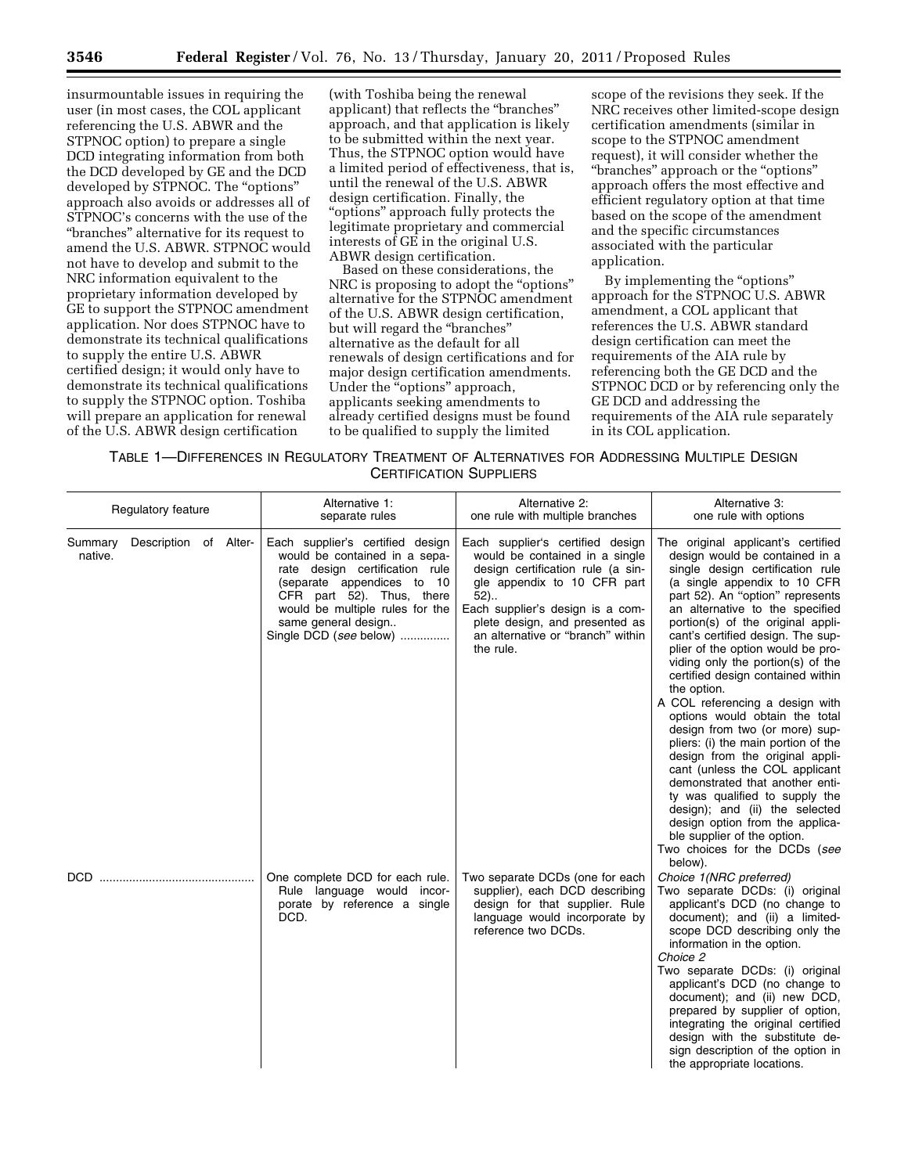insurmountable issues in requiring the user (in most cases, the COL applicant referencing the U.S. ABWR and the STPNOC option) to prepare a single DCD integrating information from both the DCD developed by GE and the DCD developed by STPNOC. The "options" approach also avoids or addresses all of STPNOC's concerns with the use of the ''branches'' alternative for its request to amend the U.S. ABWR. STPNOC would not have to develop and submit to the NRC information equivalent to the proprietary information developed by GE to support the STPNOC amendment application. Nor does STPNOC have to demonstrate its technical qualifications to supply the entire U.S. ABWR certified design; it would only have to demonstrate its technical qualifications to supply the STPNOC option. Toshiba will prepare an application for renewal of the U.S. ABWR design certification

(with Toshiba being the renewal applicant) that reflects the ''branches'' approach, and that application is likely to be submitted within the next year. Thus, the STPNOC option would have a limited period of effectiveness, that is, until the renewal of the U.S. ABWR design certification. Finally, the ''options'' approach fully protects the legitimate proprietary and commercial interests of GE in the original U.S. ABWR design certification.

Based on these considerations, the NRC is proposing to adopt the "options" alternative for the STPNOC amendment of the U.S. ABWR design certification, but will regard the ''branches'' alternative as the default for all renewals of design certifications and for major design certification amendments. Under the "options" approach, applicants seeking amendments to already certified designs must be found to be qualified to supply the limited

scope of the revisions they seek. If the NRC receives other limited-scope design certification amendments (similar in scope to the STPNOC amendment request), it will consider whether the ''branches'' approach or the ''options'' approach offers the most effective and efficient regulatory option at that time based on the scope of the amendment and the specific circumstances associated with the particular application.

By implementing the "options" approach for the STPNOC U.S. ABWR amendment, a COL applicant that references the U.S. ABWR standard design certification can meet the requirements of the AIA rule by referencing both the GE DCD and the STPNOC DCD or by referencing only the GE DCD and addressing the requirements of the AIA rule separately in its COL application.

| TABLE 1—DIFFERENCES IN REGULATORY TREATMENT OF ALTERNATIVES FOR ADDRESSING MULTIPLE DESIGN |                                |  |  |
|--------------------------------------------------------------------------------------------|--------------------------------|--|--|
|                                                                                            | <b>CERTIFICATION SUPPLIERS</b> |  |  |

| Regulatory feature |                       | Alternative 1:<br>separate rules                                                                                                                                                                                                                   | Alternative 2:<br>one rule with multiple branches                                                                                                                                                                                                                        | Alternative 3:<br>one rule with options                                                                                                                                                                                                                                                                                                                                                                                                                                                                                                                                                                                                                                                                                                                                                                                                                         |  |
|--------------------|-----------------------|----------------------------------------------------------------------------------------------------------------------------------------------------------------------------------------------------------------------------------------------------|--------------------------------------------------------------------------------------------------------------------------------------------------------------------------------------------------------------------------------------------------------------------------|-----------------------------------------------------------------------------------------------------------------------------------------------------------------------------------------------------------------------------------------------------------------------------------------------------------------------------------------------------------------------------------------------------------------------------------------------------------------------------------------------------------------------------------------------------------------------------------------------------------------------------------------------------------------------------------------------------------------------------------------------------------------------------------------------------------------------------------------------------------------|--|
| Summary<br>native. | Description of Alter- | Each supplier's certified design<br>would be contained in a sepa-<br>rate design certification rule<br>(separate appendices to 10<br>CFR part 52). Thus, there<br>would be multiple rules for the<br>same general design<br>Single DCD (see below) | Each supplier's certified design<br>would be contained in a single<br>design certification rule (a sin-<br>gle appendix to 10 CFR part<br>$52$ )<br>Each supplier's design is a com-<br>plete design, and presented as<br>an alternative or "branch" within<br>the rule. | The original applicant's certified<br>design would be contained in a<br>single design certification rule<br>(a single appendix to 10 CFR<br>part 52). An "option" represents<br>an alternative to the specified<br>portion(s) of the original appli-<br>cant's certified design. The sup-<br>plier of the option would be pro-<br>viding only the portion(s) of the<br>certified design contained within<br>the option.<br>A COL referencing a design with<br>options would obtain the total<br>design from two (or more) sup-<br>pliers: (i) the main portion of the<br>design from the original appli-<br>cant (unless the COL applicant<br>demonstrated that another enti-<br>ty was qualified to supply the<br>design); and (ii) the selected<br>design option from the applica-<br>ble supplier of the option.<br>Two choices for the DCDs (see<br>below). |  |
| DCD.               |                       | One complete DCD for each rule.<br>Rule language would incor-<br>porate by reference a single<br>DCD.                                                                                                                                              | Two separate DCDs (one for each<br>supplier), each DCD describing<br>design for that supplier. Rule<br>language would incorporate by<br>reference two DCDs.                                                                                                              | Choice 1(NRC preferred)<br>Two separate DCDs: (i) original<br>applicant's DCD (no change to<br>document); and (ii) a limited-<br>scope DCD describing only the<br>information in the option.<br>Choice 2<br>Two separate DCDs: (i) original<br>applicant's DCD (no change to<br>document); and (ii) new DCD,<br>prepared by supplier of option,<br>integrating the original certified<br>design with the substitute de-<br>sign description of the option in<br>the appropriate locations.                                                                                                                                                                                                                                                                                                                                                                      |  |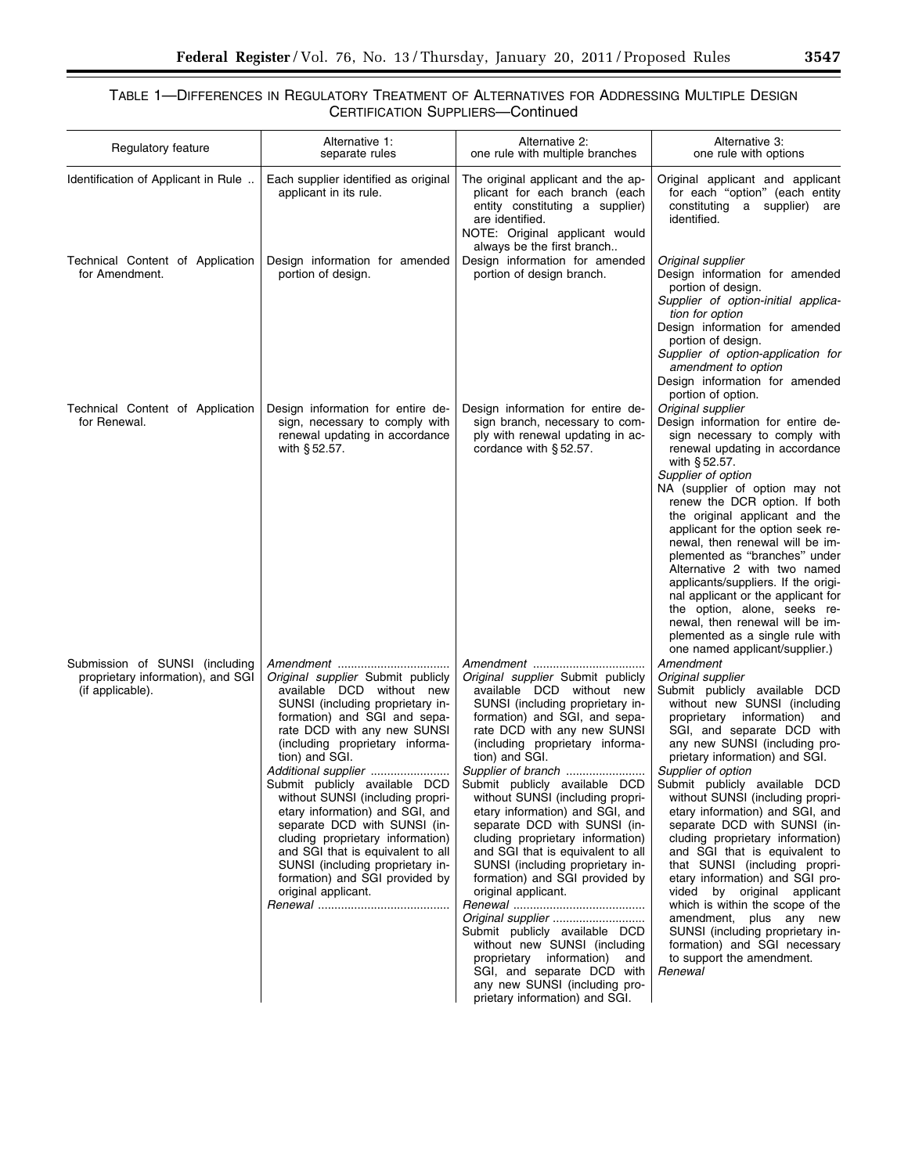# TABLE 1—DIFFERENCES IN REGULATORY TREATMENT OF ALTERNATIVES FOR ADDRESSING MULTIPLE DESIGN CERTIFICATION SUPPLIERS—Continued

| Regulatory feature                                                                      | Alternative 1:<br>separate rules                                                                                                                                                                                                                                                                                                                                                                                                                                                                                                                                   | Alternative 2:<br>one rule with multiple branches                                                                                                                                                                                                                                                                                                                                                                                                                                                                                                                                                                                                                                                                                                                                            | Alternative 3:<br>one rule with options                                                                                                                                                                                                                                                                                                                                                                                                                                                                                                                                                                                                                                                                                                              |
|-----------------------------------------------------------------------------------------|--------------------------------------------------------------------------------------------------------------------------------------------------------------------------------------------------------------------------------------------------------------------------------------------------------------------------------------------------------------------------------------------------------------------------------------------------------------------------------------------------------------------------------------------------------------------|----------------------------------------------------------------------------------------------------------------------------------------------------------------------------------------------------------------------------------------------------------------------------------------------------------------------------------------------------------------------------------------------------------------------------------------------------------------------------------------------------------------------------------------------------------------------------------------------------------------------------------------------------------------------------------------------------------------------------------------------------------------------------------------------|------------------------------------------------------------------------------------------------------------------------------------------------------------------------------------------------------------------------------------------------------------------------------------------------------------------------------------------------------------------------------------------------------------------------------------------------------------------------------------------------------------------------------------------------------------------------------------------------------------------------------------------------------------------------------------------------------------------------------------------------------|
| Identification of Applicant in Rule                                                     | Each supplier identified as original<br>applicant in its rule.                                                                                                                                                                                                                                                                                                                                                                                                                                                                                                     | The original applicant and the ap-<br>plicant for each branch (each<br>entity constituting a supplier)<br>are identified.<br>NOTE: Original applicant would<br>always be the first branch                                                                                                                                                                                                                                                                                                                                                                                                                                                                                                                                                                                                    | Original applicant and applicant<br>for each "option" (each entity<br>constituting a supplier) are<br>identified.                                                                                                                                                                                                                                                                                                                                                                                                                                                                                                                                                                                                                                    |
| Technical Content of Application<br>for Amendment.                                      | Design information for amended<br>portion of design.                                                                                                                                                                                                                                                                                                                                                                                                                                                                                                               | Design information for amended<br>portion of design branch.                                                                                                                                                                                                                                                                                                                                                                                                                                                                                                                                                                                                                                                                                                                                  | Original supplier<br>Design information for amended<br>portion of design.<br>Supplier of option-initial applica-<br>tion for option<br>Design information for amended<br>portion of design.<br>Supplier of option-application for<br>amendment to option<br>Design information for amended<br>portion of option.                                                                                                                                                                                                                                                                                                                                                                                                                                     |
| Technical Content of Application<br>for Renewal.                                        | Design information for entire de-<br>sign, necessary to comply with<br>renewal updating in accordance<br>with §52.57.                                                                                                                                                                                                                                                                                                                                                                                                                                              | Design information for entire de-<br>sign branch, necessary to com-<br>ply with renewal updating in ac-<br>cordance with $§ 52.57$ .                                                                                                                                                                                                                                                                                                                                                                                                                                                                                                                                                                                                                                                         | Original supplier<br>Design information for entire de-<br>sign necessary to comply with<br>renewal updating in accordance<br>with $§ 52.57$ .<br>Supplier of option<br>NA (supplier of option may not<br>renew the DCR option. If both<br>the original applicant and the<br>applicant for the option seek re-<br>newal, then renewal will be im-<br>plemented as "branches" under<br>Alternative 2 with two named<br>applicants/suppliers. If the origi-<br>nal applicant or the applicant for<br>the option, alone, seeks re-<br>newal, then renewal will be im-<br>plemented as a single rule with<br>one named applicant/supplier.)                                                                                                               |
| Submission of SUNSI (including<br>proprietary information), and SGI<br>(if applicable). | <i>Original supplier</i> Submit publicly<br>available DCD without new<br>SUNSI (including proprietary in-<br>formation) and SGI and sepa-<br>rate DCD with any new SUNSI<br>(including proprietary informa-<br>tion) and SGI.<br>Additional supplier<br>Submit publicly available DCD<br>without SUNSI (including propri-<br>etary information) and SGI, and<br>separate DCD with SUNSI (in-<br>cluding proprietary information)<br>and SGI that is equivalent to all<br>SUNSI (including proprietary in-<br>formation) and SGI provided by<br>original applicant. | <i>Original supplier</i> Submit publicly<br>available DCD without new<br>SUNSI (including proprietary in-<br>formation) and SGI, and sepa-<br>rate DCD with any new SUNSI<br>(including proprietary informa-<br>tion) and SGI.<br>Supplier of branch<br>Submit publicly available DCD<br>without SUNSI (including propri-<br>etary information) and SGI, and<br>separate DCD with SUNSI (in-<br>cluding proprietary information)<br>and SGI that is equivalent to all<br>SUNSI (including proprietary in-<br>formation) and SGI provided by<br>original applicant.<br>Original supplier<br>Submit publicly available DCD<br>without new SUNSI (including<br>proprietary information)<br>and<br>SGI, and separate DCD with<br>any new SUNSI (including pro-<br>prietary information) and SGI. | Amendment<br>Original supplier<br>Submit publicly available DCD<br>without new SUNSI (including<br>proprietary information)<br>and<br>SGI, and separate DCD with<br>any new SUNSI (including pro-<br>prietary information) and SGI.<br>Supplier of option<br>Submit publicly available DCD<br>without SUNSI (including propri-<br>etary information) and SGI, and<br>separate DCD with SUNSI (in-<br>cluding proprietary information)<br>and SGI that is equivalent to<br>that SUNSI (including propri-<br>etary information) and SGI pro-<br>vided by original applicant<br>which is within the scope of the<br>amendment, plus any new<br>SUNSI (including proprietary in-<br>formation) and SGI necessary<br>to support the amendment.<br>Renewal |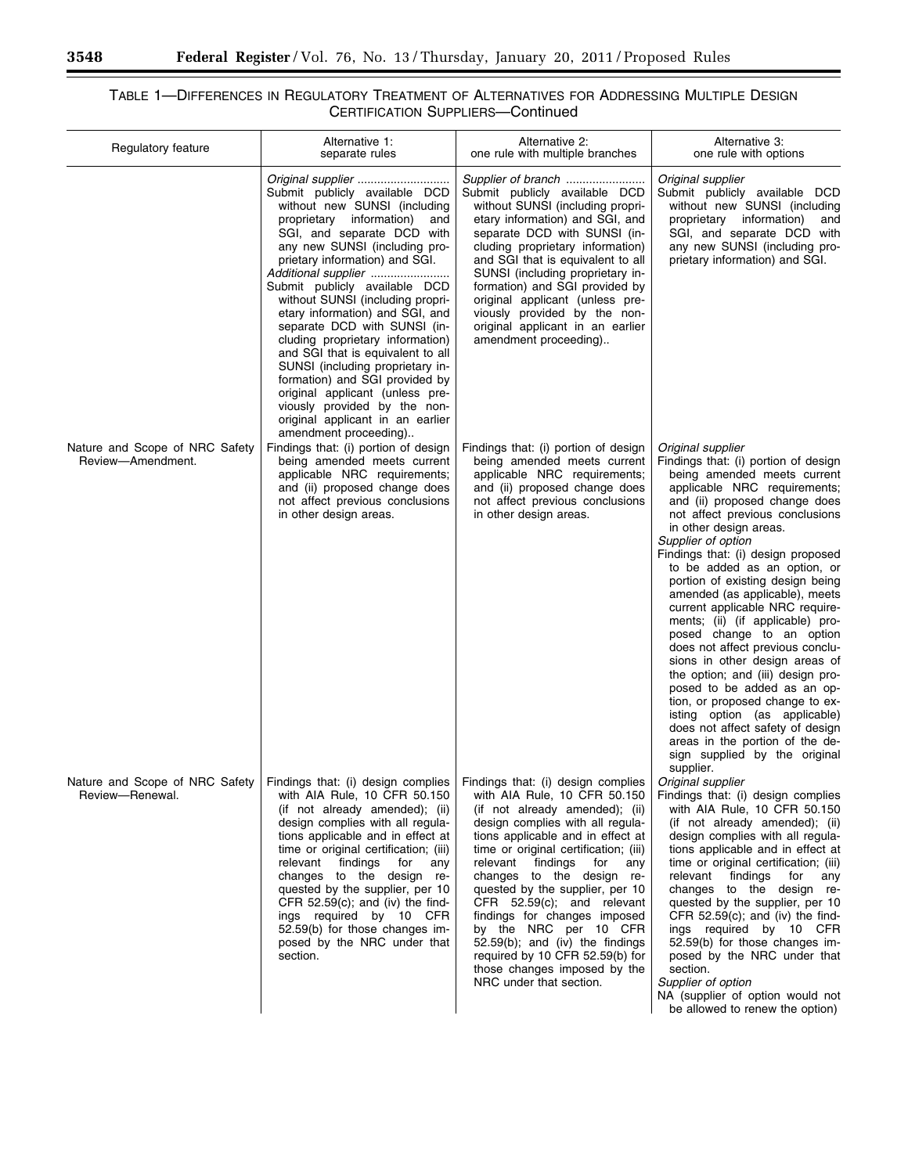۰

# TABLE 1—DIFFERENCES IN REGULATORY TREATMENT OF ALTERNATIVES FOR ADDRESSING MULTIPLE DESIGN CERTIFICATION SUPPLIERS—Continued

| Regulatory feature                                  | Alternative 1:<br>separate rules                                                                                                                                                                                                                                                                                                                                                                                                                                                                                                                                                                                                                | Alternative 2:<br>one rule with multiple branches                                                                                                                                                                                                                                                                                                                                                                                                                                                                                                    | Alternative 3:<br>one rule with options                                                                                                                                                                                                                                                                                                                                                                                                                                                                                                                                                                                                                                                                                                                                                                                         |  |
|-----------------------------------------------------|-------------------------------------------------------------------------------------------------------------------------------------------------------------------------------------------------------------------------------------------------------------------------------------------------------------------------------------------------------------------------------------------------------------------------------------------------------------------------------------------------------------------------------------------------------------------------------------------------------------------------------------------------|------------------------------------------------------------------------------------------------------------------------------------------------------------------------------------------------------------------------------------------------------------------------------------------------------------------------------------------------------------------------------------------------------------------------------------------------------------------------------------------------------------------------------------------------------|---------------------------------------------------------------------------------------------------------------------------------------------------------------------------------------------------------------------------------------------------------------------------------------------------------------------------------------------------------------------------------------------------------------------------------------------------------------------------------------------------------------------------------------------------------------------------------------------------------------------------------------------------------------------------------------------------------------------------------------------------------------------------------------------------------------------------------|--|
|                                                     | Submit publicly available DCD<br>without new SUNSI (including<br>proprietary information)<br>and<br>SGI, and separate DCD with<br>any new SUNSI (including pro-<br>prietary information) and SGI.<br>Additional supplier<br>Submit publicly available DCD<br>without SUNSI (including propri-<br>etary information) and SGI, and<br>separate DCD with SUNSI (in-<br>cluding proprietary information)<br>and SGI that is equivalent to all<br>SUNSI (including proprietary in-<br>formation) and SGI provided by<br>original applicant (unless pre-<br>viously provided by the non-<br>original applicant in an earlier<br>amendment proceeding) | Supplier of branch<br>Submit publicly available DCD<br>without SUNSI (including propri-<br>etary information) and SGI, and<br>separate DCD with SUNSI (in-<br>cluding proprietary information)<br>and SGI that is equivalent to all<br>SUNSI (including proprietary in-<br>formation) and SGI provided by<br>original applicant (unless pre-<br>viously provided by the non-<br>original applicant in an earlier<br>amendment proceeding)                                                                                                            | Original supplier<br>Submit publicly available DCD<br>without new SUNSI (including<br>proprietary information)<br>and<br>SGI, and separate DCD with<br>any new SUNSI (including pro-<br>prietary information) and SGI.                                                                                                                                                                                                                                                                                                                                                                                                                                                                                                                                                                                                          |  |
| Nature and Scope of NRC Safety<br>Review-Amendment. | Findings that: (i) portion of design<br>being amended meets current<br>applicable NRC requirements;<br>and (ii) proposed change does<br>not affect previous conclusions<br>in other design areas.                                                                                                                                                                                                                                                                                                                                                                                                                                               | Findings that: (i) portion of design<br>being amended meets current<br>applicable NRC requirements;<br>and (ii) proposed change does<br>not affect previous conclusions<br>in other design areas.                                                                                                                                                                                                                                                                                                                                                    | Original supplier<br>Findings that: (i) portion of design<br>being amended meets current<br>applicable NRC requirements;<br>and (ii) proposed change does<br>not affect previous conclusions<br>in other design areas.<br>Supplier of option<br>Findings that: (i) design proposed<br>to be added as an option, or<br>portion of existing design being<br>amended (as applicable), meets<br>current applicable NRC require-<br>ments; (ii) (if applicable) pro-<br>posed change to an option<br>does not affect previous conclu-<br>sions in other design areas of<br>the option; and (iii) design pro-<br>posed to be added as an op-<br>tion, or proposed change to ex-<br>isting option (as applicable)<br>does not affect safety of design<br>areas in the portion of the de-<br>sign supplied by the original<br>supplier. |  |
| Nature and Scope of NRC Safety<br>Review-Renewal.   | Findings that: (i) design complies<br>with AIA Rule, 10 CFR 50.150<br>(if not already amended); (ii)<br>design complies with all regula-<br>tions applicable and in effect at<br>time or original certification; (iii)<br>relevant<br>findings<br>for<br>any<br>changes to the design re-<br>quested by the supplier, per 10<br>CFR $52.59(c)$ ; and (iv) the find-<br>ings required by 10 CFR<br>52.59(b) for those changes im-<br>posed by the NRC under that<br>section.                                                                                                                                                                     | Findings that: (i) design complies<br>with AIA Rule, 10 CFR 50.150<br>(if not already amended); (ii)<br>design complies with all regula-<br>tions applicable and in effect at<br>time or original certification; (iii)<br>relevant findings<br>for<br>any<br>changes to the design re-<br>quested by the supplier, per 10<br>CFR 52.59(c); and relevant<br>findings for changes imposed<br>by the NRC per 10 CFR<br>$52.59(b)$ ; and (iv) the findings<br>required by 10 CFR 52.59(b) for<br>those changes imposed by the<br>NRC under that section. | Original supplier<br>Findings that: (i) design complies<br>with AIA Rule, 10 CFR 50.150<br>(if not already amended); (ii)<br>design complies with all regula-<br>tions applicable and in effect at<br>time or original certification; (iii)<br>relevant<br>findings<br>for<br>any<br>changes to the design re-<br>quested by the supplier, per 10<br>CFR $52.59(c)$ ; and (iv) the find-<br>ings required by 10 CFR<br>52.59(b) for those changes im-<br>posed by the NRC under that<br>section.<br>Supplier of option<br>NA (supplier of option would not<br>be allowed to renew the option)                                                                                                                                                                                                                                   |  |

Ξ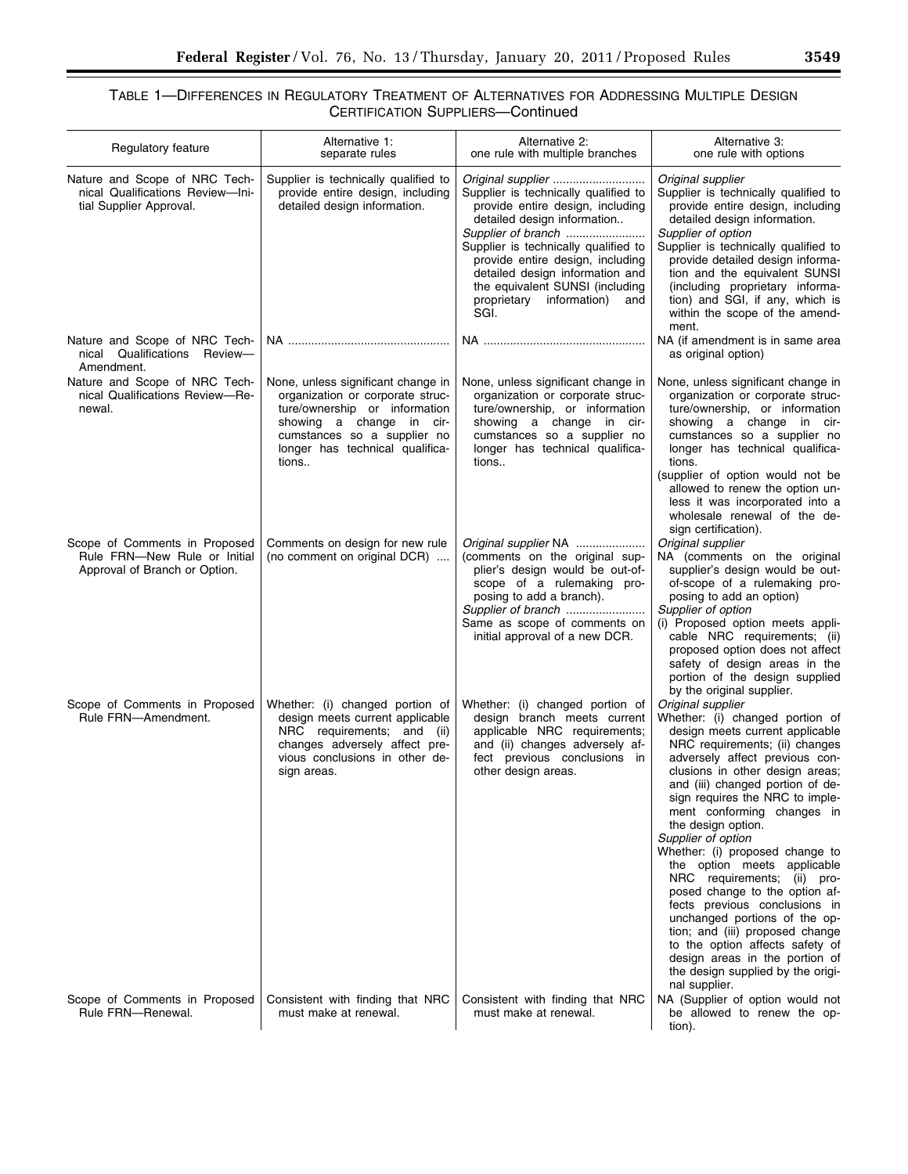# TABLE 1—DIFFERENCES IN REGULATORY TREATMENT OF ALTERNATIVES FOR ADDRESSING MULTIPLE DESIGN CERTIFICATION SUPPLIERS—Continued

| Regulatory feature                                                                             | Alternative 1:<br>separate rules                                                                                                                                                                               | Alternative 2:<br>one rule with multiple branches                                                                                                                                                                                                                                                                          | Alternative 3:<br>one rule with options                                                                                                                                                                                                                                                                                                                                                                                                                                                                                                                                                                                                                                                                            |
|------------------------------------------------------------------------------------------------|----------------------------------------------------------------------------------------------------------------------------------------------------------------------------------------------------------------|----------------------------------------------------------------------------------------------------------------------------------------------------------------------------------------------------------------------------------------------------------------------------------------------------------------------------|--------------------------------------------------------------------------------------------------------------------------------------------------------------------------------------------------------------------------------------------------------------------------------------------------------------------------------------------------------------------------------------------------------------------------------------------------------------------------------------------------------------------------------------------------------------------------------------------------------------------------------------------------------------------------------------------------------------------|
| Nature and Scope of NRC Tech-<br>nical Qualifications Review-Ini-<br>tial Supplier Approval.   | Supplier is technically qualified to<br>provide entire design, including<br>detailed design information.                                                                                                       | Supplier is technically qualified to<br>provide entire design, including<br>detailed design information<br>Supplier of branch<br>Supplier is technically qualified to<br>provide entire design, including<br>detailed design information and<br>the equivalent SUNSI (including<br>proprietary information)<br>and<br>SGI. | Original supplier<br>Supplier is technically qualified to<br>provide entire design, including<br>detailed design information.<br>Supplier of option<br>Supplier is technically qualified to<br>provide detailed design informa-<br>tion and the equivalent SUNSI<br>(including proprietary informa-<br>tion) and SGI, if any, which is<br>within the scope of the amend-<br>ment.                                                                                                                                                                                                                                                                                                                                  |
| Nature and Scope of NRC Tech-<br>Qualifications Review-<br>nical<br>Amendment.                 |                                                                                                                                                                                                                |                                                                                                                                                                                                                                                                                                                            | NA (if amendment is in same area<br>as original option)                                                                                                                                                                                                                                                                                                                                                                                                                                                                                                                                                                                                                                                            |
| Nature and Scope of NRC Tech-<br>nical Qualifications Review-Re-<br>newal.                     | None, unless significant change in<br>organization or corporate struc-<br>ture/ownership or information<br>showing a change in cir-<br>cumstances so a supplier no<br>longer has technical qualifica-<br>tions | None, unless significant change in<br>organization or corporate struc-<br>ture/ownership, or information<br>showing a change in cir-<br>cumstances so a supplier no<br>longer has technical qualifica-<br>tions                                                                                                            | None, unless significant change in<br>organization or corporate struc-<br>ture/ownership, or information<br>showing a change in cir-<br>cumstances so a supplier no<br>longer has technical qualifica-<br>tions.<br>(supplier of option would not be<br>allowed to renew the option un-<br>less it was incorporated into a<br>wholesale renewal of the de-                                                                                                                                                                                                                                                                                                                                                         |
| Scope of Comments in Proposed<br>Rule FRN-New Rule or Initial<br>Approval of Branch or Option. | Comments on design for new rule<br>(no comment on original DCR)                                                                                                                                                | Original supplier NA<br>(comments on the original sup-<br>plier's design would be out-of-<br>scope of a rulemaking pro-<br>posing to add a branch).<br>Supplier of branch<br>Same as scope of comments on<br>initial approval of a new DCR.                                                                                | sign certification).<br>Original supplier<br>NA (comments on the original<br>supplier's design would be out-<br>of-scope of a rulemaking pro-<br>posing to add an option)<br>Supplier of option<br>(i) Proposed option meets appli-<br>cable NRC requirements; (ii)<br>proposed option does not affect<br>safety of design areas in the<br>portion of the design supplied<br>by the original supplier.                                                                                                                                                                                                                                                                                                             |
| Scope of Comments in Proposed<br>Rule FRN-Amendment.                                           | Whether: (i) changed portion of<br>design meets current applicable<br>NRC requirements; and (ii)<br>changes adversely affect pre-<br>vious conclusions in other de-<br>sign areas.                             | Whether: (i) changed portion of<br>design branch meets current<br>applicable NRC requirements;<br>and (ii) changes adversely af-<br>fect previous conclusions in<br>other design areas.                                                                                                                                    | Original supplier<br>Whether: (i) changed portion of<br>design meets current applicable<br>NRC requirements; (ii) changes<br>adversely affect previous con-<br>clusions in other design areas;<br>and (iii) changed portion of de-<br>sign requires the NRC to imple-<br>ment conforming changes in<br>the design option.<br>Supplier of option<br>Whether: (i) proposed change to<br>the option meets applicable<br>NRC requirements; (ii) pro-<br>posed change to the option af-<br>fects previous conclusions in<br>unchanged portions of the op-<br>tion; and (iii) proposed change<br>to the option affects safety of<br>design areas in the portion of<br>the design supplied by the origi-<br>nal supplier. |
| Scope of Comments in Proposed<br>Rule FRN-Renewal.                                             | Consistent with finding that NRC<br>must make at renewal.                                                                                                                                                      | Consistent with finding that NRC<br>must make at renewal.                                                                                                                                                                                                                                                                  | NA (Supplier of option would not<br>be allowed to renew the op-<br>tion).                                                                                                                                                                                                                                                                                                                                                                                                                                                                                                                                                                                                                                          |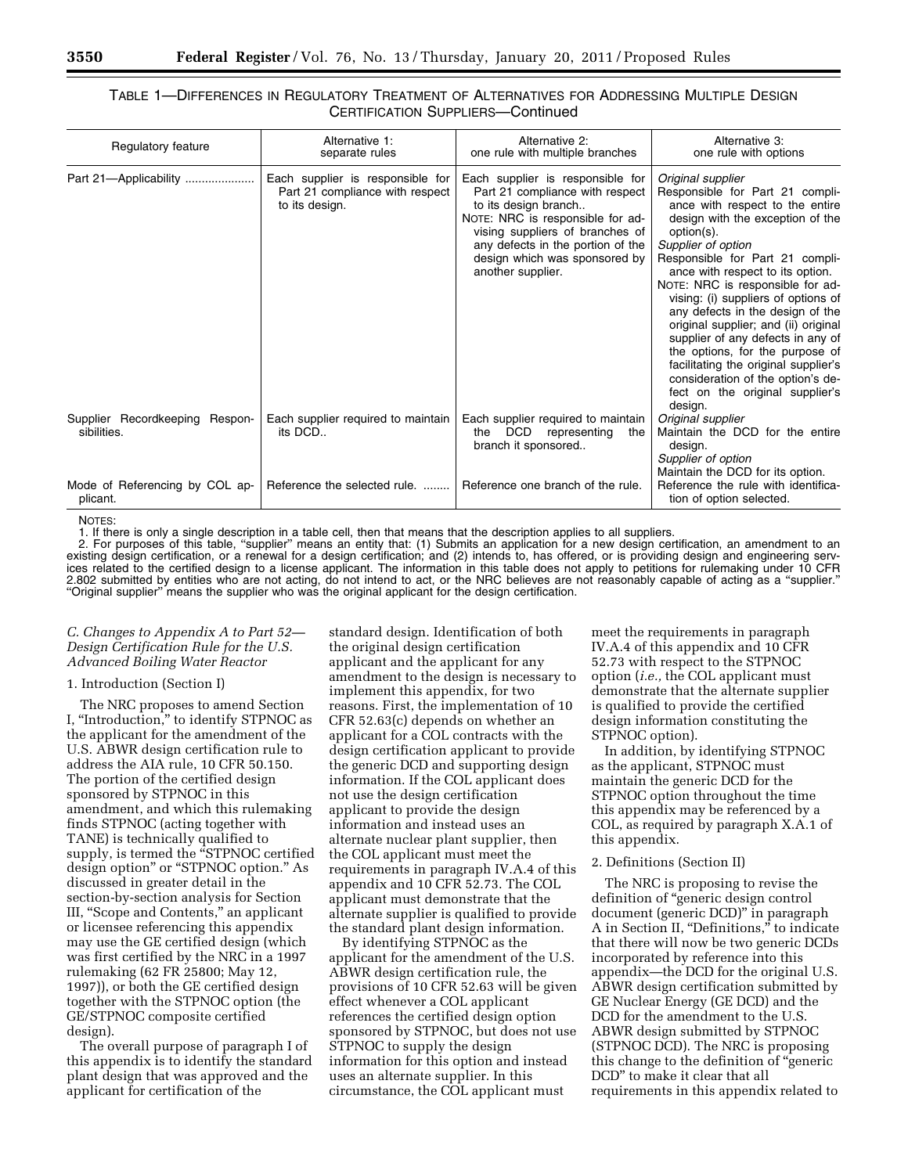## TABLE 1—DIFFERENCES IN REGULATORY TREATMENT OF ALTERNATIVES FOR ADDRESSING MULTIPLE DESIGN CERTIFICATION SUPPLIERS—Continued

| Regulatory feature                               | Alternative 1:<br>separate rules                                                      | Alternative 2:<br>one rule with multiple branches                                                                                                                                                                                                             | Alternative 3:<br>one rule with options                                                                                                                                                                                                                                                                                                                                                                                                                                                                                                                                                          |
|--------------------------------------------------|---------------------------------------------------------------------------------------|---------------------------------------------------------------------------------------------------------------------------------------------------------------------------------------------------------------------------------------------------------------|--------------------------------------------------------------------------------------------------------------------------------------------------------------------------------------------------------------------------------------------------------------------------------------------------------------------------------------------------------------------------------------------------------------------------------------------------------------------------------------------------------------------------------------------------------------------------------------------------|
| Part 21-Applicability                            | Each supplier is responsible for<br>Part 21 compliance with respect<br>to its design. | Each supplier is responsible for<br>Part 21 compliance with respect<br>to its design branch<br>NOTE: NRC is responsible for ad-<br>vising suppliers of branches of<br>any defects in the portion of the<br>design which was sponsored by<br>another supplier. | Original supplier<br>Responsible for Part 21 compli-<br>ance with respect to the entire<br>design with the exception of the<br>option(s).<br>Supplier of option<br>Responsible for Part 21 compli-<br>ance with respect to its option.<br>NOTE: NRC is responsible for ad-<br>vising: (i) suppliers of options of<br>any defects in the design of the<br>original supplier; and (ii) original<br>supplier of any defects in any of<br>the options, for the purpose of<br>facilitating the original supplier's<br>consideration of the option's de-<br>fect on the original supplier's<br>design. |
| Supplier Recordkeeping<br>Respon-<br>sibilities. | Each supplier required to maintain<br>its DCD                                         | Each supplier required to maintain<br>DCD<br>representing<br>the<br>the<br>branch it sponsored                                                                                                                                                                | Original supplier<br>Maintain the DCD for the entire<br>design.<br>Supplier of option<br>Maintain the DCD for its option.                                                                                                                                                                                                                                                                                                                                                                                                                                                                        |
| Mode of Referencing by COL ap-<br>plicant.       | Reference the selected rule.                                                          | Reference one branch of the rule.                                                                                                                                                                                                                             | Reference the rule with identifica-<br>tion of option selected.                                                                                                                                                                                                                                                                                                                                                                                                                                                                                                                                  |

NOTES:

1. If there is only a single description in a table cell, then that means that the description applies to all suppliers.<br>2. For purposes of this table, "supplier" means an entity that: (1) Submits an application for a new

existing design certification, or a renewal for a design certification; and (2) intends to, has offered, or is providing design and engineering services related to the certified design to a license applicant. The information in this table does not apply to petitions for rulemaking under 10 CFR<br>2.802 submitted by entities who are not acting, do not intend to act, or th "Original supplier" means the supplier who was the original applicant for the design certification.

## *C. Changes to Appendix A to Part 52— Design Certification Rule for the U.S. Advanced Boiling Water Reactor*

#### 1. Introduction (Section I)

The NRC proposes to amend Section I, ''Introduction,'' to identify STPNOC as the applicant for the amendment of the U.S. ABWR design certification rule to address the AIA rule, 10 CFR 50.150. The portion of the certified design sponsored by STPNOC in this amendment, and which this rulemaking finds STPNOC (acting together with TANE) is technically qualified to supply, is termed the "STPNOC certified design option" or "STPNOC option." As discussed in greater detail in the section-by-section analysis for Section III, ''Scope and Contents,'' an applicant or licensee referencing this appendix may use the GE certified design (which was first certified by the NRC in a 1997 rulemaking (62 FR 25800; May 12, 1997)), or both the GE certified design together with the STPNOC option (the GE/STPNOC composite certified design).

The overall purpose of paragraph I of this appendix is to identify the standard plant design that was approved and the applicant for certification of the

standard design. Identification of both the original design certification applicant and the applicant for any amendment to the design is necessary to implement this appendix, for two reasons. First, the implementation of 10 CFR 52.63(c) depends on whether an applicant for a COL contracts with the design certification applicant to provide the generic DCD and supporting design information. If the COL applicant does not use the design certification applicant to provide the design information and instead uses an alternate nuclear plant supplier, then the COL applicant must meet the requirements in paragraph IV.A.4 of this appendix and 10 CFR 52.73. The COL applicant must demonstrate that the alternate supplier is qualified to provide the standard plant design information.

By identifying STPNOC as the applicant for the amendment of the U.S. ABWR design certification rule, the provisions of 10 CFR 52.63 will be given effect whenever a COL applicant references the certified design option sponsored by STPNOC, but does not use STPNOC to supply the design information for this option and instead uses an alternate supplier. In this circumstance, the COL applicant must

meet the requirements in paragraph IV.A.4 of this appendix and 10 CFR 52.73 with respect to the STPNOC option (*i.e.,* the COL applicant must demonstrate that the alternate supplier is qualified to provide the certified design information constituting the STPNOC option).

In addition, by identifying STPNOC as the applicant, STPNOC must maintain the generic DCD for the STPNOC option throughout the time this appendix may be referenced by a COL, as required by paragraph X.A.1 of this appendix.

#### 2. Definitions (Section II)

The NRC is proposing to revise the definition of ''generic design control document (generic DCD)'' in paragraph A in Section II, ''Definitions,'' to indicate that there will now be two generic DCDs incorporated by reference into this appendix—the DCD for the original U.S. ABWR design certification submitted by GE Nuclear Energy (GE DCD) and the DCD for the amendment to the U.S. ABWR design submitted by STPNOC (STPNOC DCD). The NRC is proposing this change to the definition of ''generic DCD'' to make it clear that all requirements in this appendix related to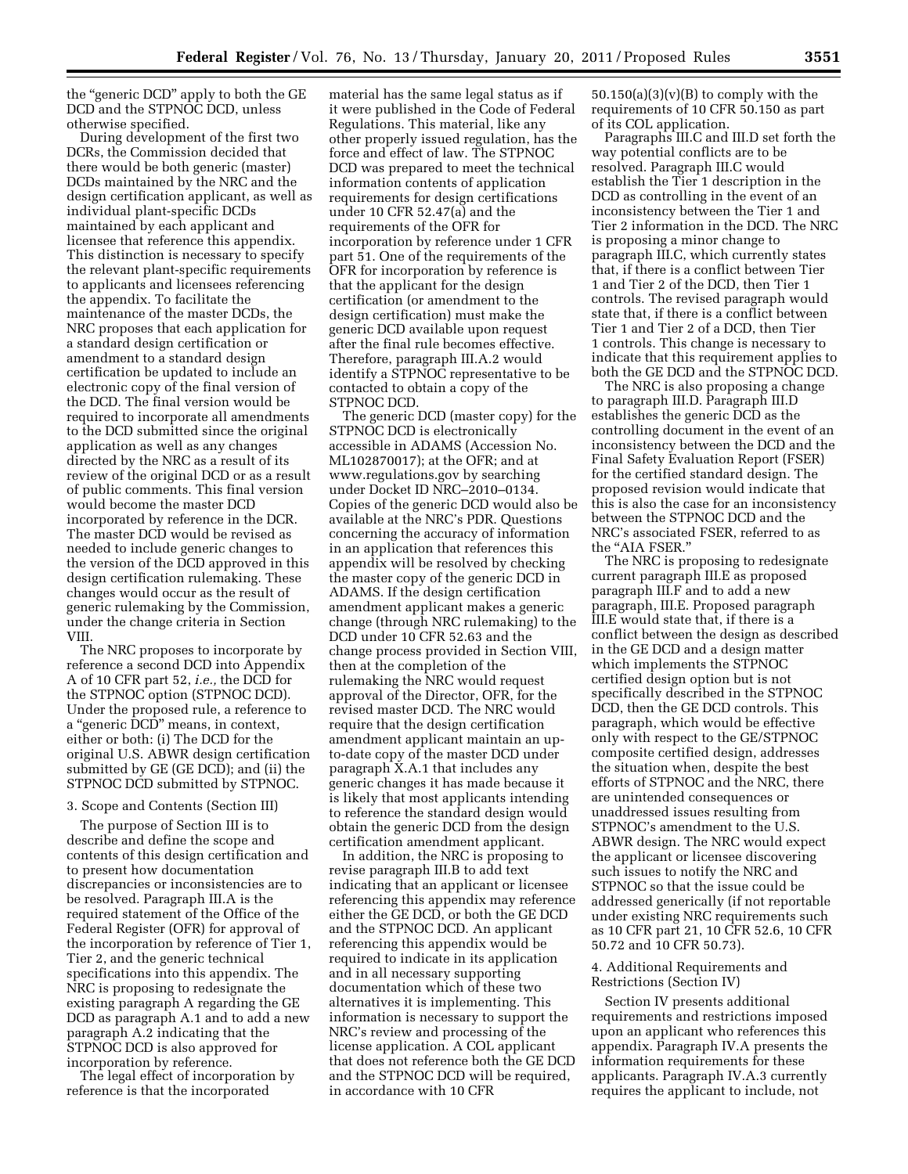the "generic DCD" apply to both the GE DCD and the STPNOC DCD, unless otherwise specified.

During development of the first two DCRs, the Commission decided that there would be both generic (master) DCDs maintained by the NRC and the design certification applicant, as well as individual plant-specific DCDs maintained by each applicant and licensee that reference this appendix. This distinction is necessary to specify the relevant plant-specific requirements to applicants and licensees referencing the appendix. To facilitate the maintenance of the master DCDs, the NRC proposes that each application for a standard design certification or amendment to a standard design certification be updated to include an electronic copy of the final version of the DCD. The final version would be required to incorporate all amendments to the DCD submitted since the original application as well as any changes directed by the NRC as a result of its review of the original DCD or as a result of public comments. This final version would become the master DCD incorporated by reference in the DCR. The master DCD would be revised as needed to include generic changes to the version of the DCD approved in this design certification rulemaking. These changes would occur as the result of generic rulemaking by the Commission, under the change criteria in Section VIII.

The NRC proposes to incorporate by reference a second DCD into Appendix A of 10 CFR part 52, *i.e.,* the DCD for the STPNOC option (STPNOC DCD). Under the proposed rule, a reference to a ''generic DCD'' means, in context, either or both: (i) The DCD for the original U.S. ABWR design certification submitted by GE (GE DCD); and (ii) the STPNOC DCD submitted by STPNOC.

## 3. Scope and Contents (Section III)

The purpose of Section III is to describe and define the scope and contents of this design certification and to present how documentation discrepancies or inconsistencies are to be resolved. Paragraph III.A is the required statement of the Office of the Federal Register (OFR) for approval of the incorporation by reference of Tier 1, Tier 2, and the generic technical specifications into this appendix. The NRC is proposing to redesignate the existing paragraph A regarding the GE DCD as paragraph A.1 and to add a new paragraph A.2 indicating that the STPNOC DCD is also approved for incorporation by reference.

The legal effect of incorporation by reference is that the incorporated

material has the same legal status as if it were published in the Code of Federal Regulations. This material, like any other properly issued regulation, has the force and effect of law. The STPNOC DCD was prepared to meet the technical information contents of application requirements for design certifications under 10 CFR 52.47(a) and the requirements of the OFR for incorporation by reference under 1 CFR part 51. One of the requirements of the OFR for incorporation by reference is that the applicant for the design certification (or amendment to the design certification) must make the generic DCD available upon request after the final rule becomes effective. Therefore, paragraph III.A.2 would identify a STPNOC representative to be contacted to obtain a copy of the STPNOC DCD.

The generic DCD (master copy) for the STPNOC DCD is electronically accessible in ADAMS (Accession No. ML102870017); at the OFR; and at www.regulations.gov by searching under Docket ID NRC–2010–0134. Copies of the generic DCD would also be available at the NRC's PDR. Questions concerning the accuracy of information in an application that references this appendix will be resolved by checking the master copy of the generic DCD in ADAMS. If the design certification amendment applicant makes a generic change (through NRC rulemaking) to the DCD under 10 CFR 52.63 and the change process provided in Section VIII, then at the completion of the rulemaking the NRC would request approval of the Director, OFR, for the revised master DCD. The NRC would require that the design certification amendment applicant maintain an upto-date copy of the master DCD under paragraph X.A.1 that includes any generic changes it has made because it is likely that most applicants intending to reference the standard design would obtain the generic DCD from the design certification amendment applicant.

In addition, the NRC is proposing to revise paragraph III.B to add text indicating that an applicant or licensee referencing this appendix may reference either the GE DCD, or both the GE DCD and the STPNOC DCD. An applicant referencing this appendix would be required to indicate in its application and in all necessary supporting documentation which of these two alternatives it is implementing. This information is necessary to support the NRC's review and processing of the license application. A COL applicant that does not reference both the GE DCD and the STPNOC DCD will be required, in accordance with 10 CFR

 $50.150(a)(3)(v)(B)$  to comply with the requirements of 10 CFR 50.150 as part of its COL application.

Paragraphs III.C and III.D set forth the way potential conflicts are to be resolved. Paragraph III.C would establish the Tier 1 description in the DCD as controlling in the event of an inconsistency between the Tier 1 and Tier 2 information in the DCD. The NRC is proposing a minor change to paragraph III.C, which currently states that, if there is a conflict between Tier 1 and Tier 2 of the DCD, then Tier 1 controls. The revised paragraph would state that, if there is a conflict between Tier 1 and Tier 2 of a DCD, then Tier 1 controls. This change is necessary to indicate that this requirement applies to both the GE DCD and the STPNOC DCD.

The NRC is also proposing a change to paragraph III.D. Paragraph III.D establishes the generic DCD as the controlling document in the event of an inconsistency between the DCD and the Final Safety Evaluation Report (FSER) for the certified standard design. The proposed revision would indicate that this is also the case for an inconsistency between the STPNOC DCD and the NRC's associated FSER, referred to as the ''AIA FSER.''

The NRC is proposing to redesignate current paragraph III.E as proposed paragraph III.F and to add a new paragraph, III.E. Proposed paragraph III.E would state that, if there is a conflict between the design as described in the GE DCD and a design matter which implements the STPNOC certified design option but is not specifically described in the STPNOC DCD, then the GE DCD controls. This paragraph, which would be effective only with respect to the GE/STPNOC composite certified design, addresses the situation when, despite the best efforts of STPNOC and the NRC, there are unintended consequences or unaddressed issues resulting from STPNOC's amendment to the U.S. ABWR design. The NRC would expect the applicant or licensee discovering such issues to notify the NRC and STPNOC so that the issue could be addressed generically (if not reportable under existing NRC requirements such as 10 CFR part 21, 10 CFR 52.6, 10 CFR 50.72 and 10 CFR 50.73).

4. Additional Requirements and Restrictions (Section IV)

Section IV presents additional requirements and restrictions imposed upon an applicant who references this appendix. Paragraph IV.A presents the information requirements for these applicants. Paragraph IV.A.3 currently requires the applicant to include, not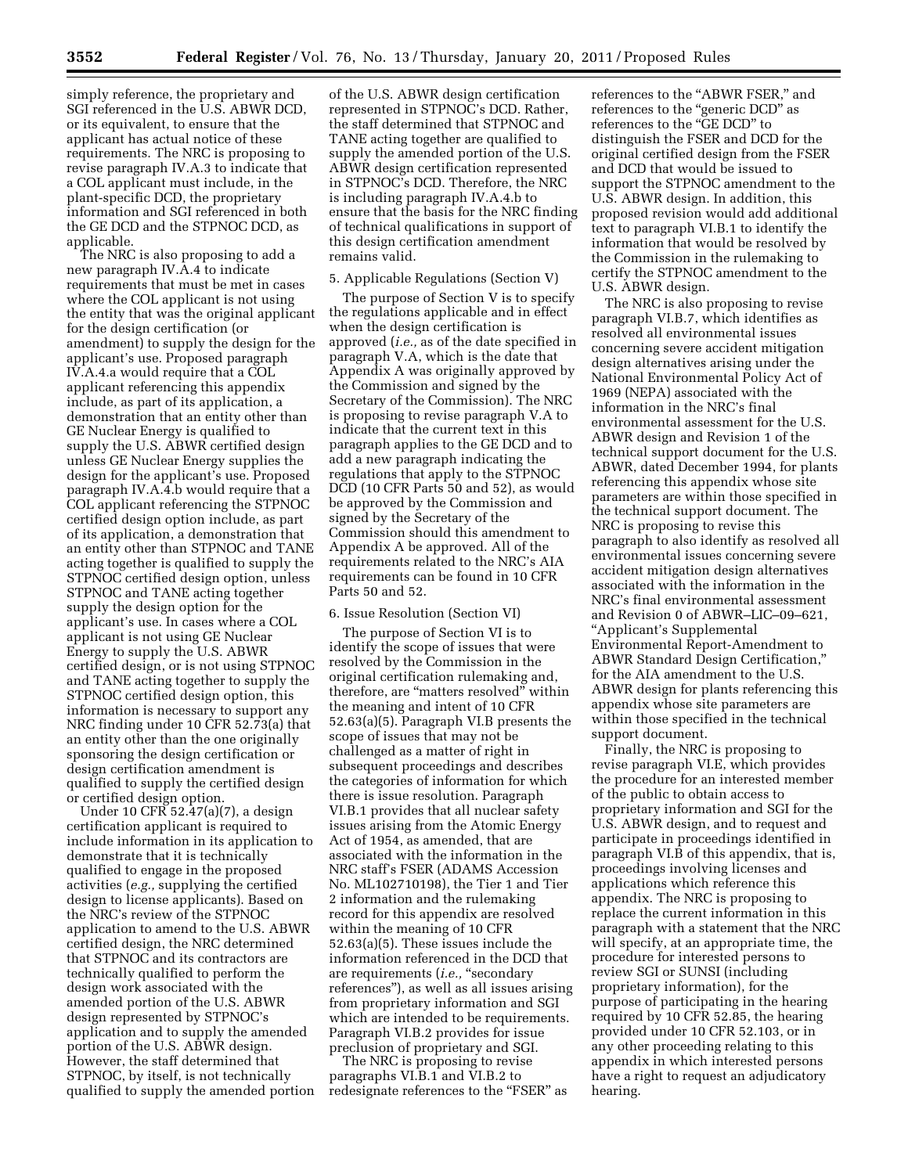simply reference, the proprietary and SGI referenced in the U.S. ABWR DCD, or its equivalent, to ensure that the applicant has actual notice of these requirements. The NRC is proposing to revise paragraph IV.A.3 to indicate that a COL applicant must include, in the plant-specific DCD, the proprietary information and SGI referenced in both the GE DCD and the STPNOC DCD, as applicable.

The NRC is also proposing to add a new paragraph IV.A.4 to indicate requirements that must be met in cases where the COL applicant is not using the entity that was the original applicant for the design certification (or amendment) to supply the design for the applicant's use. Proposed paragraph IV.A.4.a would require that a COL applicant referencing this appendix include, as part of its application, a demonstration that an entity other than GE Nuclear Energy is qualified to supply the U.S. ABWR certified design unless GE Nuclear Energy supplies the design for the applicant's use. Proposed paragraph IV.A.4.b would require that a COL applicant referencing the STPNOC certified design option include, as part of its application, a demonstration that an entity other than STPNOC and TANE acting together is qualified to supply the STPNOC certified design option, unless STPNOC and TANE acting together supply the design option for the applicant's use. In cases where a COL applicant is not using GE Nuclear Energy to supply the U.S. ABWR certified design, or is not using STPNOC and TANE acting together to supply the STPNOC certified design option, this information is necessary to support any NRC finding under 10 CFR 52.73(a) that an entity other than the one originally sponsoring the design certification or design certification amendment is qualified to supply the certified design or certified design option.

Under 10 CFR 52.47(a)(7), a design certification applicant is required to include information in its application to demonstrate that it is technically qualified to engage in the proposed activities (*e.g.,* supplying the certified design to license applicants). Based on the NRC's review of the STPNOC application to amend to the U.S. ABWR certified design, the NRC determined that STPNOC and its contractors are technically qualified to perform the design work associated with the amended portion of the U.S. ABWR design represented by STPNOC's application and to supply the amended portion of the U.S. ABWR design. However, the staff determined that STPNOC, by itself, is not technically qualified to supply the amended portion

of the U.S. ABWR design certification represented in STPNOC's DCD. Rather, the staff determined that STPNOC and TANE acting together are qualified to supply the amended portion of the U.S. ABWR design certification represented in STPNOC's DCD. Therefore, the NRC is including paragraph IV.A.4.b to ensure that the basis for the NRC finding of technical qualifications in support of this design certification amendment remains valid.

### 5. Applicable Regulations (Section V)

The purpose of Section V is to specify the regulations applicable and in effect when the design certification is approved (*i.e.,* as of the date specified in paragraph V.A, which is the date that Appendix A was originally approved by the Commission and signed by the Secretary of the Commission). The NRC is proposing to revise paragraph V.A to indicate that the current text in this paragraph applies to the GE DCD and to add a new paragraph indicating the regulations that apply to the STPNOC DCD (10 CFR Parts 50 and 52), as would be approved by the Commission and signed by the Secretary of the Commission should this amendment to Appendix A be approved. All of the requirements related to the NRC's AIA requirements can be found in 10 CFR Parts 50 and 52.

#### 6. Issue Resolution (Section VI)

The purpose of Section VI is to identify the scope of issues that were resolved by the Commission in the original certification rulemaking and, therefore, are ''matters resolved'' within the meaning and intent of 10 CFR 52.63(a)(5). Paragraph VI.B presents the scope of issues that may not be challenged as a matter of right in subsequent proceedings and describes the categories of information for which there is issue resolution. Paragraph VI.B.1 provides that all nuclear safety issues arising from the Atomic Energy Act of 1954, as amended, that are associated with the information in the NRC staff's FSER (ADAMS Accession No. ML102710198), the Tier 1 and Tier 2 information and the rulemaking record for this appendix are resolved within the meaning of 10 CFR 52.63(a)(5). These issues include the information referenced in the DCD that are requirements (*i.e.*, "secondary references''), as well as all issues arising from proprietary information and SGI which are intended to be requirements. Paragraph VI.B.2 provides for issue preclusion of proprietary and SGI.

The NRC is proposing to revise paragraphs VI.B.1 and VI.B.2 to redesignate references to the "FSER" as references to the ''ABWR FSER,'' and references to the ''generic DCD'' as references to the ''GE DCD'' to distinguish the FSER and DCD for the original certified design from the FSER and DCD that would be issued to support the STPNOC amendment to the U.S. ABWR design. In addition, this proposed revision would add additional text to paragraph VI.B.1 to identify the information that would be resolved by the Commission in the rulemaking to certify the STPNOC amendment to the U.S. ABWR design.

The NRC is also proposing to revise paragraph VI.B.7, which identifies as resolved all environmental issues concerning severe accident mitigation design alternatives arising under the National Environmental Policy Act of 1969 (NEPA) associated with the information in the NRC's final environmental assessment for the U.S. ABWR design and Revision 1 of the technical support document for the U.S. ABWR, dated December 1994, for plants referencing this appendix whose site parameters are within those specified in the technical support document. The NRC is proposing to revise this paragraph to also identify as resolved all environmental issues concerning severe accident mitigation design alternatives associated with the information in the NRC's final environmental assessment and Revision 0 of ABWR–LIC–09–621, ''Applicant's Supplemental Environmental Report-Amendment to ABWR Standard Design Certification,'' for the AIA amendment to the U.S. ABWR design for plants referencing this appendix whose site parameters are within those specified in the technical support document.

Finally, the NRC is proposing to revise paragraph VI.E, which provides the procedure for an interested member of the public to obtain access to proprietary information and SGI for the U.S. ABWR design, and to request and participate in proceedings identified in paragraph VI.B of this appendix, that is, proceedings involving licenses and applications which reference this appendix. The NRC is proposing to replace the current information in this paragraph with a statement that the NRC will specify, at an appropriate time, the procedure for interested persons to review SGI or SUNSI (including proprietary information), for the purpose of participating in the hearing required by 10 CFR 52.85, the hearing provided under 10 CFR 52.103, or in any other proceeding relating to this appendix in which interested persons have a right to request an adjudicatory hearing.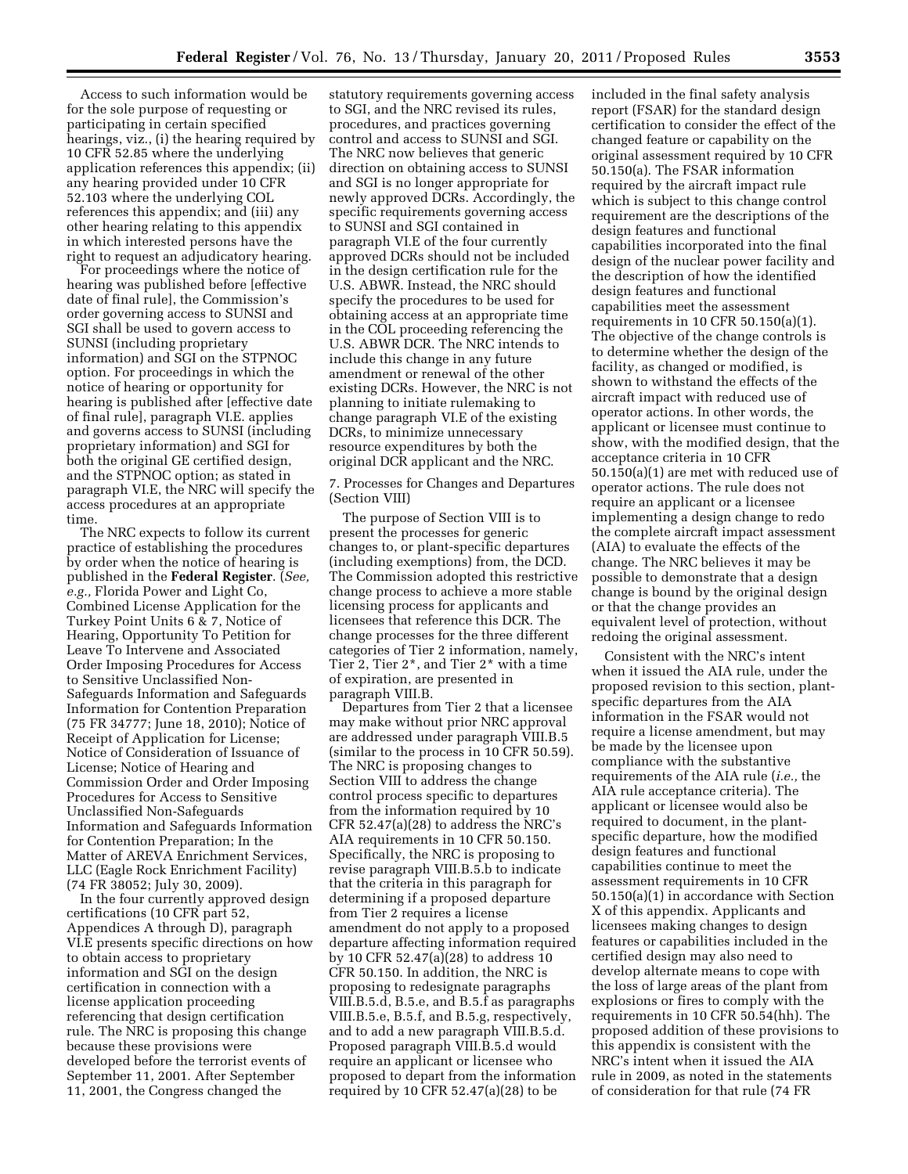Access to such information would be for the sole purpose of requesting or participating in certain specified hearings, viz., (i) the hearing required by 10 CFR 52.85 where the underlying application references this appendix; (ii) any hearing provided under 10 CFR 52.103 where the underlying COL references this appendix; and (iii) any other hearing relating to this appendix in which interested persons have the right to request an adjudicatory hearing.

For proceedings where the notice of hearing was published before [effective date of final rule], the Commission's order governing access to SUNSI and SGI shall be used to govern access to SUNSI (including proprietary information) and SGI on the STPNOC option. For proceedings in which the notice of hearing or opportunity for hearing is published after [effective date of final rule], paragraph VI.E. applies and governs access to SUNSI (including proprietary information) and SGI for both the original GE certified design, and the STPNOC option; as stated in paragraph VI.E, the NRC will specify the access procedures at an appropriate time.

The NRC expects to follow its current practice of establishing the procedures by order when the notice of hearing is published in the **Federal Register**. (*See, e.g.,* Florida Power and Light Co, Combined License Application for the Turkey Point Units 6 & 7, Notice of Hearing, Opportunity To Petition for Leave To Intervene and Associated Order Imposing Procedures for Access to Sensitive Unclassified Non-Safeguards Information and Safeguards Information for Contention Preparation (75 FR 34777; June 18, 2010); Notice of Receipt of Application for License; Notice of Consideration of Issuance of License; Notice of Hearing and Commission Order and Order Imposing Procedures for Access to Sensitive Unclassified Non-Safeguards Information and Safeguards Information for Contention Preparation; In the Matter of AREVA Enrichment Services, LLC (Eagle Rock Enrichment Facility) (74 FR 38052; July 30, 2009).

In the four currently approved design certifications (10 CFR part 52, Appendices A through D), paragraph VI.E presents specific directions on how to obtain access to proprietary information and SGI on the design certification in connection with a license application proceeding referencing that design certification rule. The NRC is proposing this change because these provisions were developed before the terrorist events of September 11, 2001. After September 11, 2001, the Congress changed the

statutory requirements governing access to SGI, and the NRC revised its rules, procedures, and practices governing control and access to SUNSI and SGI. The NRC now believes that generic direction on obtaining access to SUNSI and SGI is no longer appropriate for newly approved DCRs. Accordingly, the specific requirements governing access to SUNSI and SGI contained in paragraph VI.E of the four currently approved DCRs should not be included in the design certification rule for the U.S. ABWR. Instead, the NRC should specify the procedures to be used for obtaining access at an appropriate time in the COL proceeding referencing the U.S. ABWR DCR. The NRC intends to include this change in any future amendment or renewal of the other existing DCRs. However, the NRC is not planning to initiate rulemaking to change paragraph VI.E of the existing DCRs, to minimize unnecessary resource expenditures by both the original DCR applicant and the NRC.

7. Processes for Changes and Departures (Section VIII)

The purpose of Section VIII is to present the processes for generic changes to, or plant-specific departures (including exemptions) from, the DCD. The Commission adopted this restrictive change process to achieve a more stable licensing process for applicants and licensees that reference this DCR. The change processes for the three different categories of Tier 2 information, namely, Tier 2, Tier 2\*, and Tier 2\* with a time of expiration, are presented in paragraph VIII.B.

Departures from Tier 2 that a licensee may make without prior NRC approval are addressed under paragraph VIII.B.5 (similar to the process in 10 CFR 50.59). The NRC is proposing changes to Section VIII to address the change control process specific to departures from the information required by 10 CFR 52.47(a)(28) to address the NRC's AIA requirements in 10 CFR 50.150. Specifically, the NRC is proposing to revise paragraph VIII.B.5.b to indicate that the criteria in this paragraph for determining if a proposed departure from Tier 2 requires a license amendment do not apply to a proposed departure affecting information required by 10 CFR 52.47(a)(28) to address 10 CFR 50.150. In addition, the NRC is proposing to redesignate paragraphs VIII.B.5.d, B.5.e, and B.5.f as paragraphs VIII.B.5.e, B.5.f, and B.5.g, respectively, and to add a new paragraph VIII.B.5.d. Proposed paragraph VIII.B.5.d would require an applicant or licensee who proposed to depart from the information required by 10 CFR  $52.47(a)(28)$  to be

included in the final safety analysis report (FSAR) for the standard design certification to consider the effect of the changed feature or capability on the original assessment required by 10 CFR 50.150(a). The FSAR information required by the aircraft impact rule which is subject to this change control requirement are the descriptions of the design features and functional capabilities incorporated into the final design of the nuclear power facility and the description of how the identified design features and functional capabilities meet the assessment requirements in 10 CFR 50.150(a)(1). The objective of the change controls is to determine whether the design of the facility, as changed or modified, is shown to withstand the effects of the aircraft impact with reduced use of operator actions. In other words, the applicant or licensee must continue to show, with the modified design, that the acceptance criteria in 10 CFR 50.150(a)(1) are met with reduced use of operator actions. The rule does not require an applicant or a licensee implementing a design change to redo the complete aircraft impact assessment (AIA) to evaluate the effects of the change. The NRC believes it may be possible to demonstrate that a design change is bound by the original design or that the change provides an equivalent level of protection, without redoing the original assessment.

Consistent with the NRC's intent when it issued the AIA rule, under the proposed revision to this section, plantspecific departures from the AIA information in the FSAR would not require a license amendment, but may be made by the licensee upon compliance with the substantive requirements of the AIA rule (*i.e.,* the AIA rule acceptance criteria). The applicant or licensee would also be required to document, in the plantspecific departure, how the modified design features and functional capabilities continue to meet the assessment requirements in 10 CFR 50.150(a)(1) in accordance with Section X of this appendix. Applicants and licensees making changes to design features or capabilities included in the certified design may also need to develop alternate means to cope with the loss of large areas of the plant from explosions or fires to comply with the requirements in 10 CFR 50.54(hh). The proposed addition of these provisions to this appendix is consistent with the NRC's intent when it issued the AIA rule in 2009, as noted in the statements of consideration for that rule (74 FR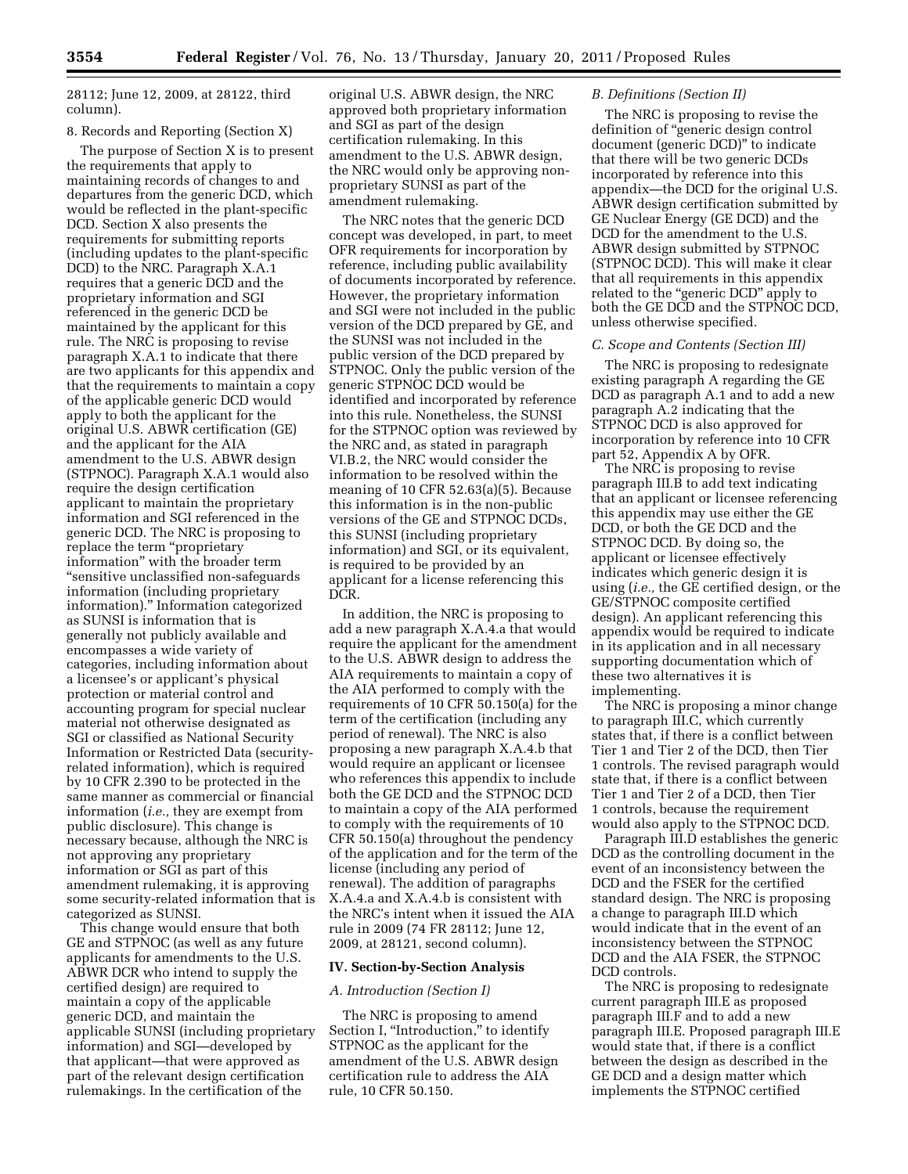28112; June 12, 2009, at 28122, third column).

# 8. Records and Reporting (Section X)

The purpose of Section X is to present the requirements that apply to maintaining records of changes to and departures from the generic DCD, which would be reflected in the plant-specific DCD. Section X also presents the requirements for submitting reports (including updates to the plant-specific DCD) to the NRC. Paragraph X.A.1 requires that a generic DCD and the proprietary information and SGI referenced in the generic DCD be maintained by the applicant for this rule. The NRC is proposing to revise paragraph X.A.1 to indicate that there are two applicants for this appendix and that the requirements to maintain a copy of the applicable generic DCD would apply to both the applicant for the original U.S. ABWR certification (GE) and the applicant for the AIA amendment to the U.S. ABWR design (STPNOC). Paragraph X.A.1 would also require the design certification applicant to maintain the proprietary information and SGI referenced in the generic DCD. The NRC is proposing to replace the term "proprietary information'' with the broader term ''sensitive unclassified non-safeguards information (including proprietary information).'' Information categorized as SUNSI is information that is generally not publicly available and encompasses a wide variety of categories, including information about a licensee's or applicant's physical protection or material control and accounting program for special nuclear material not otherwise designated as SGI or classified as National Security Information or Restricted Data (securityrelated information), which is required by 10 CFR 2.390 to be protected in the same manner as commercial or financial information (*i.e.,* they are exempt from public disclosure). This change is necessary because, although the NRC is not approving any proprietary information or SGI as part of this amendment rulemaking, it is approving some security-related information that is categorized as SUNSI.

This change would ensure that both GE and STPNOC (as well as any future applicants for amendments to the U.S. ABWR DCR who intend to supply the certified design) are required to maintain a copy of the applicable generic DCD, and maintain the applicable SUNSI (including proprietary information) and SGI—developed by that applicant—that were approved as part of the relevant design certification rulemakings. In the certification of the

original U.S. ABWR design, the NRC approved both proprietary information and SGI as part of the design certification rulemaking. In this amendment to the U.S. ABWR design, the NRC would only be approving nonproprietary SUNSI as part of the amendment rulemaking.

The NRC notes that the generic DCD concept was developed, in part, to meet OFR requirements for incorporation by reference, including public availability of documents incorporated by reference. However, the proprietary information and SGI were not included in the public version of the DCD prepared by GE, and the SUNSI was not included in the public version of the DCD prepared by STPNOC. Only the public version of the generic STPNOC DCD would be identified and incorporated by reference into this rule. Nonetheless, the SUNSI for the STPNOC option was reviewed by the NRC and, as stated in paragraph VI.B.2, the NRC would consider the information to be resolved within the meaning of 10 CFR 52.63(a)(5). Because this information is in the non-public versions of the GE and STPNOC DCDs, this SUNSI (including proprietary information) and SGI, or its equivalent, is required to be provided by an applicant for a license referencing this DCR.

In addition, the NRC is proposing to add a new paragraph X.A.4.a that would require the applicant for the amendment to the U.S. ABWR design to address the AIA requirements to maintain a copy of the AIA performed to comply with the requirements of 10 CFR 50.150(a) for the term of the certification (including any period of renewal). The NRC is also proposing a new paragraph X.A.4.b that would require an applicant or licensee who references this appendix to include both the GE DCD and the STPNOC DCD to maintain a copy of the AIA performed to comply with the requirements of 10 CFR 50.150(a) throughout the pendency of the application and for the term of the license (including any period of renewal). The addition of paragraphs X.A.4.a and X.A.4.b is consistent with the NRC's intent when it issued the AIA rule in 2009 (74 FR 28112; June 12, 2009, at 28121, second column).

## **IV. Section-by-Section Analysis**

#### *A. Introduction (Section I)*

The NRC is proposing to amend Section I, "Introduction," to identify STPNOC as the applicant for the amendment of the U.S. ABWR design certification rule to address the AIA rule, 10 CFR 50.150.

#### *B. Definitions (Section II)*

The NRC is proposing to revise the definition of ''generic design control document (generic DCD)'' to indicate that there will be two generic DCDs incorporated by reference into this appendix—the DCD for the original U.S. ABWR design certification submitted by GE Nuclear Energy (GE DCD) and the DCD for the amendment to the U.S. ABWR design submitted by STPNOC (STPNOC DCD). This will make it clear that all requirements in this appendix related to the "generic DCD" apply to both the GE DCD and the STPNOC DCD, unless otherwise specified.

#### *C. Scope and Contents (Section III)*

The NRC is proposing to redesignate existing paragraph A regarding the GE DCD as paragraph A.1 and to add a new paragraph A.2 indicating that the STPNOC DCD is also approved for incorporation by reference into 10 CFR part 52, Appendix A by OFR.

The NRC is proposing to revise paragraph III.B to add text indicating that an applicant or licensee referencing this appendix may use either the GE DCD, or both the GE DCD and the STPNOC DCD. By doing so, the applicant or licensee effectively indicates which generic design it is using (*i.e.,* the GE certified design, or the GE/STPNOC composite certified design). An applicant referencing this appendix would be required to indicate in its application and in all necessary supporting documentation which of these two alternatives it is implementing.

The NRC is proposing a minor change to paragraph III.C, which currently states that, if there is a conflict between Tier 1 and Tier 2 of the DCD, then Tier 1 controls. The revised paragraph would state that, if there is a conflict between Tier 1 and Tier 2 of a DCD, then Tier 1 controls, because the requirement would also apply to the STPNOC DCD.

Paragraph III.D establishes the generic DCD as the controlling document in the event of an inconsistency between the DCD and the FSER for the certified standard design. The NRC is proposing a change to paragraph III.D which would indicate that in the event of an inconsistency between the STPNOC DCD and the AIA FSER, the STPNOC DCD controls.

The NRC is proposing to redesignate current paragraph III.E as proposed paragraph III.F and to add a new paragraph III.E. Proposed paragraph III.E would state that, if there is a conflict between the design as described in the GE DCD and a design matter which implements the STPNOC certified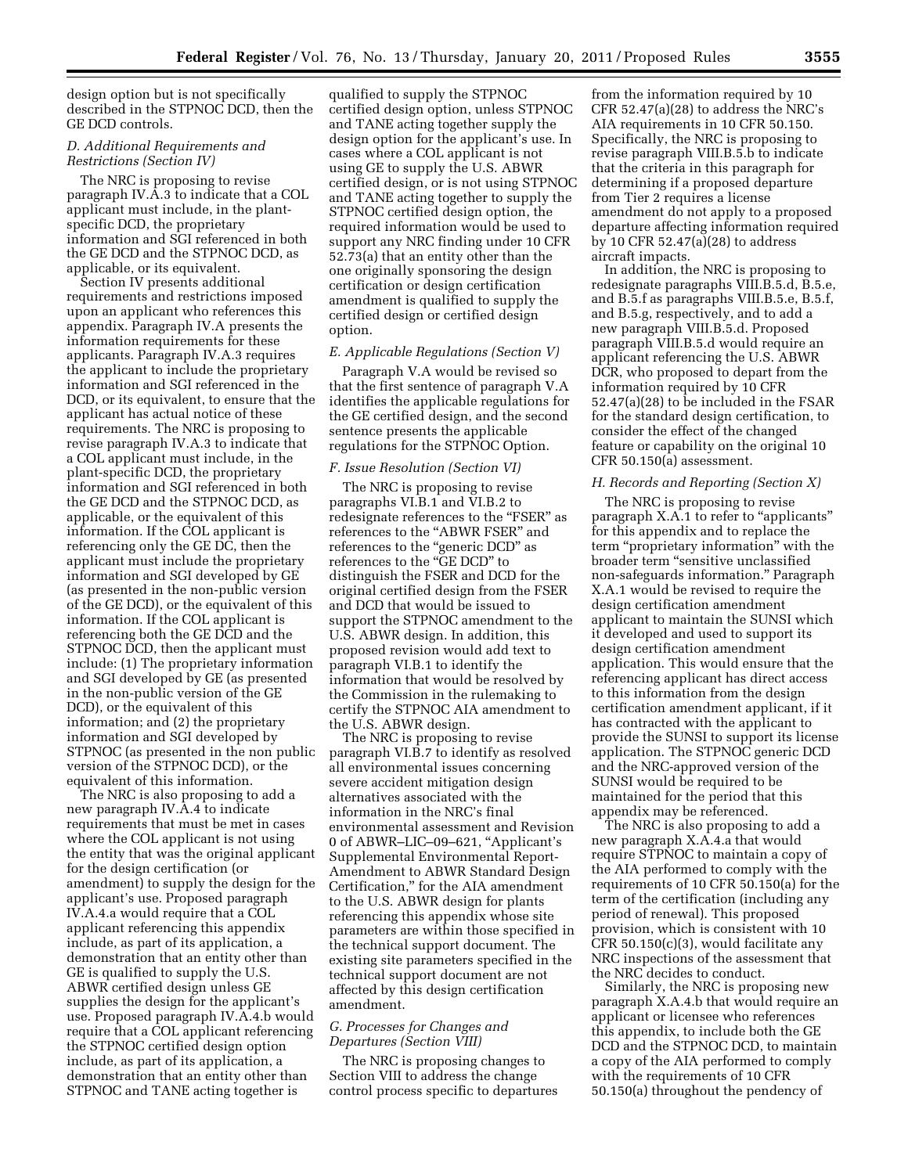design option but is not specifically described in the STPNOC DCD, then the GE DCD controls.

## *D. Additional Requirements and Restrictions (Section IV)*

The NRC is proposing to revise paragraph IV.A.3 to indicate that a COL applicant must include, in the plantspecific DCD, the proprietary information and SGI referenced in both the GE DCD and the STPNOC DCD, as applicable, or its equivalent.

Section IV presents additional requirements and restrictions imposed upon an applicant who references this appendix. Paragraph IV.A presents the information requirements for these applicants. Paragraph IV.A.3 requires the applicant to include the proprietary information and SGI referenced in the DCD, or its equivalent, to ensure that the applicant has actual notice of these requirements. The NRC is proposing to revise paragraph IV.A.3 to indicate that a COL applicant must include, in the plant-specific DCD, the proprietary information and SGI referenced in both the GE DCD and the STPNOC DCD, as applicable, or the equivalent of this information. If the COL applicant is referencing only the GE DC, then the applicant must include the proprietary information and SGI developed by GE (as presented in the non-public version of the GE DCD), or the equivalent of this information. If the COL applicant is referencing both the GE DCD and the STPNOC DCD, then the applicant must include: (1) The proprietary information and SGI developed by GE (as presented in the non-public version of the GE DCD), or the equivalent of this information; and (2) the proprietary information and SGI developed by STPNOC (as presented in the non public version of the STPNOC DCD), or the equivalent of this information.

The NRC is also proposing to add a new paragraph IV.A.4 to indicate requirements that must be met in cases where the COL applicant is not using the entity that was the original applicant for the design certification (or amendment) to supply the design for the applicant's use. Proposed paragraph IV.A.4.a would require that a COL applicant referencing this appendix include, as part of its application, a demonstration that an entity other than GE is qualified to supply the U.S. ABWR certified design unless GE supplies the design for the applicant's use. Proposed paragraph IV.A.4.b would require that a COL applicant referencing the STPNOC certified design option include, as part of its application, a demonstration that an entity other than STPNOC and TANE acting together is

qualified to supply the STPNOC certified design option, unless STPNOC and TANE acting together supply the design option for the applicant's use. In cases where a COL applicant is not using GE to supply the U.S. ABWR certified design, or is not using STPNOC and TANE acting together to supply the STPNOC certified design option, the required information would be used to support any NRC finding under 10 CFR 52.73(a) that an entity other than the one originally sponsoring the design certification or design certification amendment is qualified to supply the certified design or certified design option.

## *E. Applicable Regulations (Section V)*

Paragraph V.A would be revised so that the first sentence of paragraph V.A identifies the applicable regulations for the GE certified design, and the second sentence presents the applicable regulations for the STPNOC Option.

#### *F. Issue Resolution (Section VI)*

The NRC is proposing to revise paragraphs VI.B.1 and VI.B.2 to redesignate references to the "FSER" as references to the "ABWR FSER" and references to the ''generic DCD'' as references to the ''GE DCD'' to distinguish the FSER and DCD for the original certified design from the FSER and DCD that would be issued to support the STPNOC amendment to the U.S. ABWR design. In addition, this proposed revision would add text to paragraph VI.B.1 to identify the information that would be resolved by the Commission in the rulemaking to certify the STPNOC AIA amendment to the U.S. ABWR design.

The NRC is proposing to revise paragraph VI.B.7 to identify as resolved all environmental issues concerning severe accident mitigation design alternatives associated with the information in the NRC's final environmental assessment and Revision 0 of ABWR–LIC–09–621, ''Applicant's Supplemental Environmental Report-Amendment to ABWR Standard Design Certification,'' for the AIA amendment to the U.S. ABWR design for plants referencing this appendix whose site parameters are within those specified in the technical support document. The existing site parameters specified in the technical support document are not affected by this design certification amendment.

## *G. Processes for Changes and Departures (Section VIII)*

The NRC is proposing changes to Section VIII to address the change control process specific to departures

from the information required by 10 CFR 52.47(a)(28) to address the NRC's AIA requirements in 10 CFR 50.150. Specifically, the NRC is proposing to revise paragraph VIII.B.5.b to indicate that the criteria in this paragraph for determining if a proposed departure from Tier 2 requires a license amendment do not apply to a proposed departure affecting information required by 10 CFR 52.47(a)(28) to address aircraft impacts.

In addition, the NRC is proposing to redesignate paragraphs VIII.B.5.d, B.5.e, and B.5.f as paragraphs VIII.B.5.e, B.5.f, and B.5.g, respectively, and to add a new paragraph VIII.B.5.d. Proposed paragraph VIII.B.5.d would require an applicant referencing the U.S. ABWR DCR, who proposed to depart from the information required by 10 CFR 52.47(a)(28) to be included in the FSAR for the standard design certification, to consider the effect of the changed feature or capability on the original 10 CFR 50.150(a) assessment.

# *H. Records and Reporting (Section X)*

The NRC is proposing to revise paragraph X.A.1 to refer to ''applicants'' for this appendix and to replace the term "proprietary information" with the broader term ''sensitive unclassified non-safeguards information.'' Paragraph X.A.1 would be revised to require the design certification amendment applicant to maintain the SUNSI which it developed and used to support its design certification amendment application. This would ensure that the referencing applicant has direct access to this information from the design certification amendment applicant, if it has contracted with the applicant to provide the SUNSI to support its license application. The STPNOC generic DCD and the NRC-approved version of the SUNSI would be required to be maintained for the period that this appendix may be referenced.

The NRC is also proposing to add a new paragraph X.A.4.a that would require STPNOC to maintain a copy of the AIA performed to comply with the requirements of 10 CFR 50.150(a) for the term of the certification (including any period of renewal). This proposed provision, which is consistent with 10 CFR 50.150(c)(3), would facilitate any NRC inspections of the assessment that the NRC decides to conduct.

Similarly, the NRC is proposing new paragraph X.A.4.b that would require an applicant or licensee who references this appendix, to include both the GE DCD and the STPNOC DCD, to maintain a copy of the AIA performed to comply with the requirements of 10 CFR 50.150(a) throughout the pendency of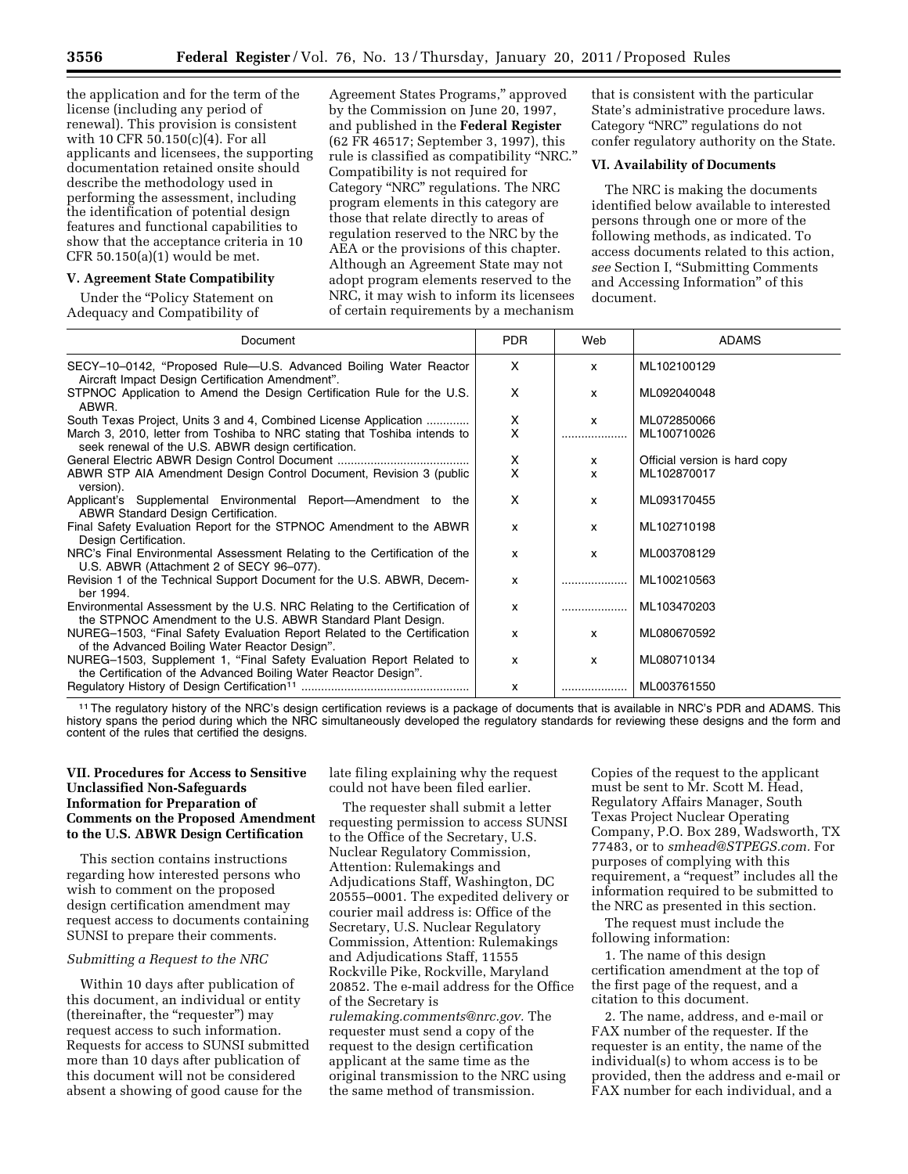the application and for the term of the license (including any period of renewal). This provision is consistent with 10 CFR 50.150(c)(4). For all applicants and licensees, the supporting documentation retained onsite should describe the methodology used in performing the assessment, including the identification of potential design features and functional capabilities to show that the acceptance criteria in 10 CFR 50.150(a)(1) would be met.

## **V. Agreement State Compatibility**

Under the ''Policy Statement on Adequacy and Compatibility of

Agreement States Programs,'' approved by the Commission on June 20, 1997, and published in the **Federal Register**  (62 FR 46517; September 3, 1997), this rule is classified as compatibility ''NRC.'' Compatibility is not required for Category ''NRC'' regulations. The NRC program elements in this category are those that relate directly to areas of regulation reserved to the NRC by the AEA or the provisions of this chapter. Although an Agreement State may not adopt program elements reserved to the NRC, it may wish to inform its licensees of certain requirements by a mechanism

that is consistent with the particular State's administrative procedure laws. Category ''NRC'' regulations do not confer regulatory authority on the State.

#### **VI. Availability of Documents**

The NRC is making the documents identified below available to interested persons through one or more of the following methods, as indicated. To access documents related to this action, *see* Section I, ''Submitting Comments and Accessing Information'' of this document.

| Document                                                                                                                                  | <b>PDR</b> | Web          | <b>ADAMS</b>                  |
|-------------------------------------------------------------------------------------------------------------------------------------------|------------|--------------|-------------------------------|
| SECY-10-0142, "Proposed Rule-U.S. Advanced Boiling Water Reactor<br>Aircraft Impact Design Certification Amendment".                      | X          | x            | ML102100129                   |
| STPNOC Application to Amend the Design Certification Rule for the U.S.<br>ABWR.                                                           | X          | x            | ML092040048                   |
| South Texas Project, Units 3 and 4, Combined License Application                                                                          | X          | $\mathsf{x}$ | ML072850066                   |
| March 3, 2010, letter from Toshiba to NRC stating that Toshiba intends to<br>seek renewal of the U.S. ABWR design certification.          | x          |              | ML100710026                   |
|                                                                                                                                           | X          | x            | Official version is hard copy |
| ABWR STP AIA Amendment Design Control Document, Revision 3 (public<br>version).                                                           | x          | x            | ML102870017                   |
| Applicant's Supplemental Environmental Report—Amendment to the<br>ABWR Standard Design Certification.                                     | x          | x            | ML093170455                   |
| Final Safety Evaluation Report for the STPNOC Amendment to the ABWR<br>Design Certification.                                              | X          | $\mathsf{x}$ | ML102710198                   |
| NRC's Final Environmental Assessment Relating to the Certification of the<br>U.S. ABWR (Attachment 2 of SECY 96-077).                     | X          | X            | ML003708129                   |
| Revision 1 of the Technical Support Document for the U.S. ABWR, Decem-<br>ber 1994.                                                       | x          |              | ML100210563                   |
| Environmental Assessment by the U.S. NRC Relating to the Certification of<br>the STPNOC Amendment to the U.S. ABWR Standard Plant Design. | x          |              | ML103470203                   |
| NUREG-1503, "Final Safety Evaluation Report Related to the Certification<br>of the Advanced Boiling Water Reactor Design".                | x          | $\mathsf{x}$ | ML080670592                   |
| NUREG-1503, Supplement 1, "Final Safety Evaluation Report Related to<br>the Certification of the Advanced Boiling Water Reactor Design".  | X          | $\mathsf{x}$ | ML080710134                   |
|                                                                                                                                           | x          |              | ML003761550                   |

11The regulatory history of the NRC's design certification reviews is a package of documents that is available in NRC's PDR and ADAMS. This history spans the period during which the NRC simultaneously developed the regulatory standards for reviewing these designs and the form and content of the rules that certified the designs.

## **VII. Procedures for Access to Sensitive Unclassified Non-Safeguards Information for Preparation of Comments on the Proposed Amendment to the U.S. ABWR Design Certification**

This section contains instructions regarding how interested persons who wish to comment on the proposed design certification amendment may request access to documents containing SUNSI to prepare their comments.

## *Submitting a Request to the NRC*

Within 10 days after publication of this document, an individual or entity (thereinafter, the "requester") may request access to such information. Requests for access to SUNSI submitted more than 10 days after publication of this document will not be considered absent a showing of good cause for the

late filing explaining why the request could not have been filed earlier.

The requester shall submit a letter requesting permission to access SUNSI to the Office of the Secretary, U.S. Nuclear Regulatory Commission, Attention: Rulemakings and Adjudications Staff, Washington, DC 20555–0001. The expedited delivery or courier mail address is: Office of the Secretary, U.S. Nuclear Regulatory Commission, Attention: Rulemakings and Adjudications Staff, 11555 Rockville Pike, Rockville, Maryland 20852. The e-mail address for the Office of the Secretary is

*[rulemaking.comments@nrc.gov.](mailto:rulemaking.comments@nrc.gov)* The requester must send a copy of the request to the design certification applicant at the same time as the original transmission to the NRC using the same method of transmission.

Copies of the request to the applicant must be sent to Mr. Scott M. Head, Regulatory Affairs Manager, South Texas Project Nuclear Operating Company, P.O. Box 289, Wadsworth, TX 77483, or to *[smhead@STPEGS.com.](mailto:smhead@STPEGS.com)* For purposes of complying with this requirement, a "request" includes all the information required to be submitted to the NRC as presented in this section.

The request must include the following information:

1. The name of this design certification amendment at the top of the first page of the request, and a citation to this document.

2. The name, address, and e-mail or FAX number of the requester. If the requester is an entity, the name of the individual(s) to whom access is to be provided, then the address and e-mail or FAX number for each individual, and a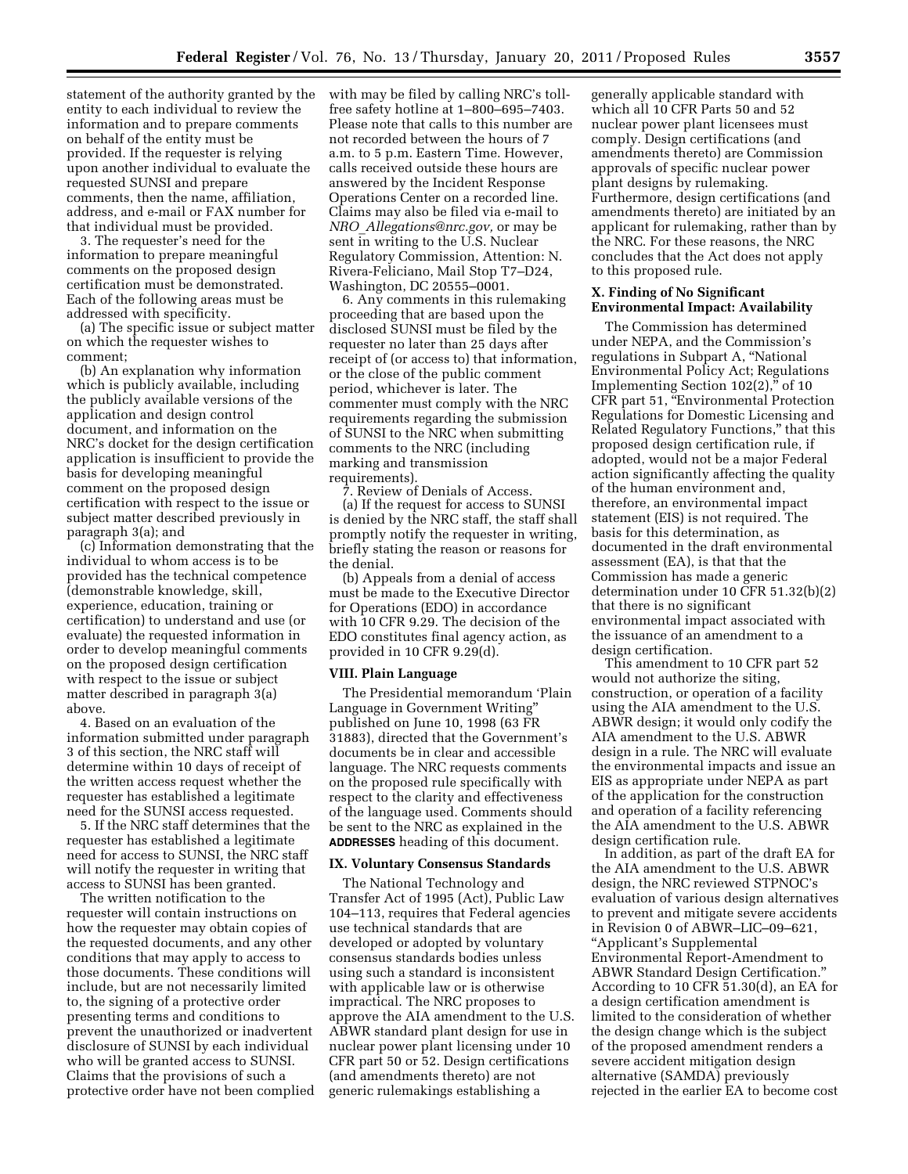statement of the authority granted by the entity to each individual to review the information and to prepare comments on behalf of the entity must be provided. If the requester is relying upon another individual to evaluate the requested SUNSI and prepare comments, then the name, affiliation, address, and e-mail or FAX number for that individual must be provided.

3. The requester's need for the information to prepare meaningful comments on the proposed design certification must be demonstrated. Each of the following areas must be addressed with specificity.

(a) The specific issue or subject matter on which the requester wishes to comment;

(b) An explanation why information which is publicly available, including the publicly available versions of the application and design control document, and information on the NRC's docket for the design certification application is insufficient to provide the basis for developing meaningful comment on the proposed design certification with respect to the issue or subject matter described previously in paragraph 3(a); and

(c) Information demonstrating that the individual to whom access is to be provided has the technical competence (demonstrable knowledge, skill, experience, education, training or certification) to understand and use (or evaluate) the requested information in order to develop meaningful comments on the proposed design certification with respect to the issue or subject matter described in paragraph 3(a) above.

4. Based on an evaluation of the information submitted under paragraph 3 of this section, the NRC staff will determine within 10 days of receipt of the written access request whether the requester has established a legitimate need for the SUNSI access requested.

5. If the NRC staff determines that the requester has established a legitimate need for access to SUNSI, the NRC staff will notify the requester in writing that access to SUNSI has been granted.

The written notification to the requester will contain instructions on how the requester may obtain copies of the requested documents, and any other conditions that may apply to access to those documents. These conditions will include, but are not necessarily limited to, the signing of a protective order presenting terms and conditions to prevent the unauthorized or inadvertent disclosure of SUNSI by each individual who will be granted access to SUNSI. Claims that the provisions of such a protective order have not been complied with may be filed by calling NRC's tollfree safety hotline at 1–800–695–7403. Please note that calls to this number are not recorded between the hours of 7 a.m. to 5 p.m. Eastern Time. However, calls received outside these hours are answered by the Incident Response Operations Center on a recorded line. Claims may also be filed via e-mail to *NRO*\_*[Allegations@nrc.gov,](mailto:NRO_Allegations@nrc.gov)* or may be sent in writing to the U.S. Nuclear Regulatory Commission, Attention: N. Rivera-Feliciano, Mail Stop T7–D24, Washington, DC 20555–0001.

6. Any comments in this rulemaking proceeding that are based upon the disclosed SUNSI must be filed by the requester no later than 25 days after receipt of (or access to) that information, or the close of the public comment period, whichever is later. The commenter must comply with the NRC requirements regarding the submission of SUNSI to the NRC when submitting comments to the NRC (including marking and transmission requirements).

7. Review of Denials of Access. (a) If the request for access to SUNSI is denied by the NRC staff, the staff shall promptly notify the requester in writing, briefly stating the reason or reasons for the denial.

(b) Appeals from a denial of access must be made to the Executive Director for Operations (EDO) in accordance with 10 CFR 9.29. The decision of the EDO constitutes final agency action, as provided in 10 CFR 9.29(d).

#### **VIII. Plain Language**

The Presidential memorandum 'Plain Language in Government Writing'' published on June 10, 1998 (63 FR 31883), directed that the Government's documents be in clear and accessible language. The NRC requests comments on the proposed rule specifically with respect to the clarity and effectiveness of the language used. Comments should be sent to the NRC as explained in the **ADDRESSES** heading of this document.

#### **IX. Voluntary Consensus Standards**

The National Technology and Transfer Act of 1995 (Act), Public Law 104–113, requires that Federal agencies use technical standards that are developed or adopted by voluntary consensus standards bodies unless using such a standard is inconsistent with applicable law or is otherwise impractical. The NRC proposes to approve the AIA amendment to the U.S. ABWR standard plant design for use in nuclear power plant licensing under 10 CFR part 50 or 52. Design certifications (and amendments thereto) are not generic rulemakings establishing a

generally applicable standard with which all 10 CFR Parts 50 and 52 nuclear power plant licensees must comply. Design certifications (and amendments thereto) are Commission approvals of specific nuclear power plant designs by rulemaking. Furthermore, design certifications (and amendments thereto) are initiated by an applicant for rulemaking, rather than by the NRC. For these reasons, the NRC concludes that the Act does not apply to this proposed rule.

## **X. Finding of No Significant Environmental Impact: Availability**

The Commission has determined under NEPA, and the Commission's regulations in Subpart A, ''National Environmental Policy Act; Regulations Implementing Section 102(2)," of 10 CFR part 51, ''Environmental Protection Regulations for Domestic Licensing and Related Regulatory Functions,'' that this proposed design certification rule, if adopted, would not be a major Federal action significantly affecting the quality of the human environment and, therefore, an environmental impact statement (EIS) is not required. The basis for this determination, as documented in the draft environmental assessment (EA), is that that the Commission has made a generic determination under 10 CFR 51.32(b)(2) that there is no significant environmental impact associated with the issuance of an amendment to a design certification.

This amendment to 10 CFR part 52 would not authorize the siting, construction, or operation of a facility using the AIA amendment to the U.S. ABWR design; it would only codify the AIA amendment to the U.S. ABWR design in a rule. The NRC will evaluate the environmental impacts and issue an EIS as appropriate under NEPA as part of the application for the construction and operation of a facility referencing the AIA amendment to the U.S. ABWR design certification rule.

In addition, as part of the draft EA for the AIA amendment to the U.S. ABWR design, the NRC reviewed STPNOC's evaluation of various design alternatives to prevent and mitigate severe accidents in Revision 0 of ABWR–LIC–09–621, ''Applicant's Supplemental Environmental Report-Amendment to ABWR Standard Design Certification.'' According to 10 CFR 51.30(d), an EA for a design certification amendment is limited to the consideration of whether the design change which is the subject of the proposed amendment renders a severe accident mitigation design alternative (SAMDA) previously rejected in the earlier EA to become cost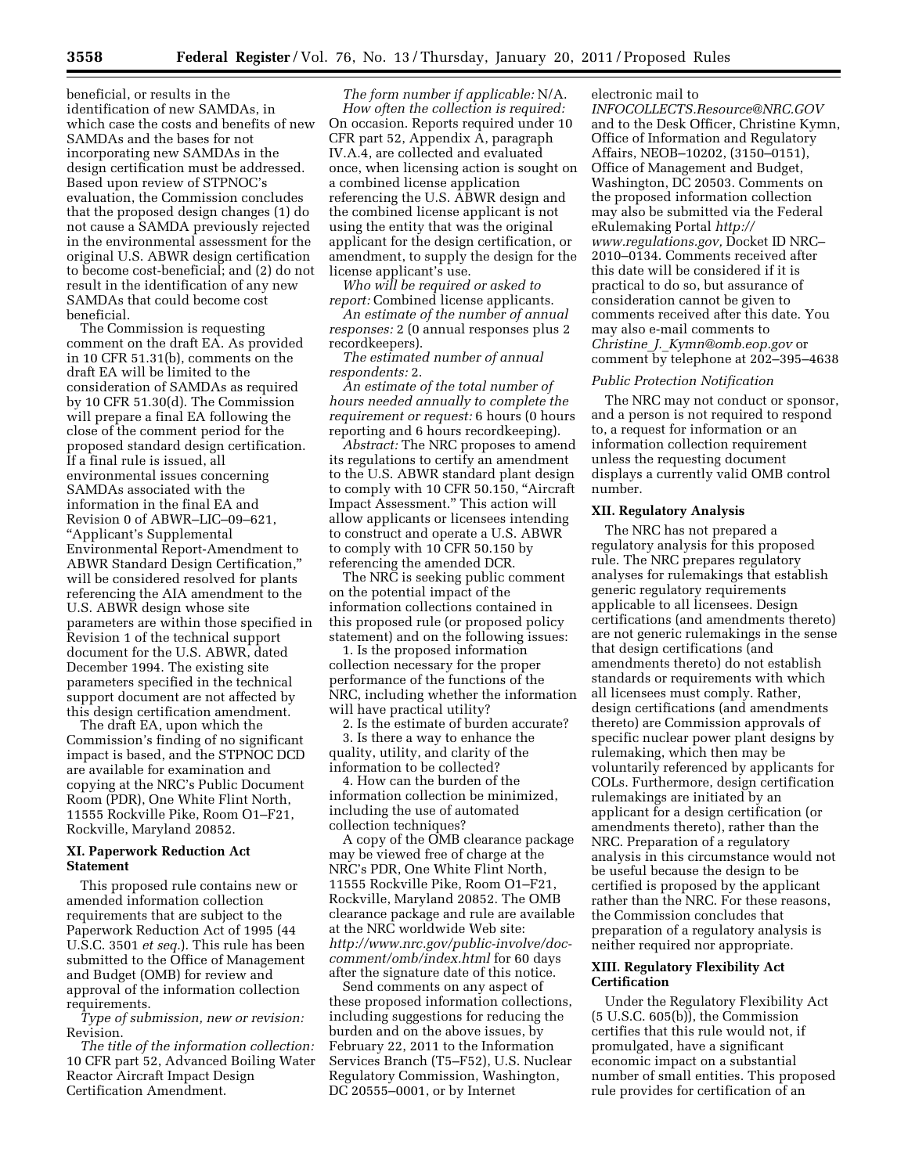beneficial, or results in the identification of new SAMDAs, in which case the costs and benefits of new SAMDAs and the bases for not incorporating new SAMDAs in the design certification must be addressed. Based upon review of STPNOC's evaluation, the Commission concludes that the proposed design changes (1) do not cause a SAMDA previously rejected in the environmental assessment for the original U.S. ABWR design certification to become cost-beneficial; and (2) do not result in the identification of any new SAMDAs that could become cost beneficial.

The Commission is requesting comment on the draft EA. As provided in 10 CFR 51.31(b), comments on the draft EA will be limited to the consideration of SAMDAs as required by 10 CFR 51.30(d). The Commission will prepare a final EA following the close of the comment period for the proposed standard design certification. If a final rule is issued, all environmental issues concerning SAMDAs associated with the information in the final EA and Revision 0 of ABWR–LIC–09–621, ''Applicant's Supplemental Environmental Report-Amendment to ABWR Standard Design Certification,'' will be considered resolved for plants referencing the AIA amendment to the U.S. ABWR design whose site parameters are within those specified in Revision 1 of the technical support document for the U.S. ABWR, dated December 1994. The existing site parameters specified in the technical support document are not affected by this design certification amendment.

The draft EA, upon which the Commission's finding of no significant impact is based, and the STPNOC DCD are available for examination and copying at the NRC's Public Document Room (PDR), One White Flint North, 11555 Rockville Pike, Room O1–F21, Rockville, Maryland 20852.

#### **XI. Paperwork Reduction Act Statement**

This proposed rule contains new or amended information collection requirements that are subject to the Paperwork Reduction Act of 1995 (44 U.S.C. 3501 *et seq.*). This rule has been submitted to the Office of Management and Budget (OMB) for review and approval of the information collection requirements.

*Type of submission, new or revision:*  Revision.

*The title of the information collection:*  10 CFR part 52, Advanced Boiling Water Reactor Aircraft Impact Design Certification Amendment.

*The form number if applicable:* N/A. *How often the collection is required:*  On occasion. Reports required under 10 CFR part 52, Appendix A, paragraph IV.A.4, are collected and evaluated once, when licensing action is sought on a combined license application referencing the U.S. ABWR design and the combined license applicant is not using the entity that was the original applicant for the design certification, or amendment, to supply the design for the license applicant's use.

*Who will be required or asked to report:* Combined license applicants.

*An estimate of the number of annual responses:* 2 (0 annual responses plus 2 recordkeepers).

*The estimated number of annual respondents:* 2.

*An estimate of the total number of hours needed annually to complete the requirement or request:* 6 hours (0 hours reporting and 6 hours recordkeeping).

*Abstract:* The NRC proposes to amend its regulations to certify an amendment to the U.S. ABWR standard plant design to comply with 10 CFR 50.150, ''Aircraft Impact Assessment.'' This action will allow applicants or licensees intending to construct and operate a U.S. ABWR to comply with 10 CFR 50.150 by referencing the amended DCR.

The NRC is seeking public comment on the potential impact of the information collections contained in this proposed rule (or proposed policy statement) and on the following issues:

1. Is the proposed information collection necessary for the proper performance of the functions of the NRC, including whether the information will have practical utility?

2. Is the estimate of burden accurate? 3. Is there a way to enhance the quality, utility, and clarity of the information to be collected?

4. How can the burden of the information collection be minimized, including the use of automated collection techniques?

A copy of the OMB clearance package may be viewed free of charge at the NRC's PDR, One White Flint North, 11555 Rockville Pike, Room O1–F21, Rockville, Maryland 20852. The OMB clearance package and rule are available at the NRC worldwide Web site: *[http://www.nrc.gov/public-involve/doc](http://www.nrc.gov/public-involve/doc-comment/omb/index.html)[comment/omb/index.html](http://www.nrc.gov/public-involve/doc-comment/omb/index.html)* for 60 days after the signature date of this notice.

Send comments on any aspect of these proposed information collections, including suggestions for reducing the burden and on the above issues, by February 22, 2011 to the Information Services Branch (T5–F52), U.S. Nuclear Regulatory Commission, Washington, DC 20555–0001, or by Internet

electronic mail to

*[INFOCOLLECTS.Resource@NRC.GOV](mailto:INFOCOLLECTS.Resource@NRC.GOV)*  and to the Desk Officer, Christine Kymn, Office of Information and Regulatory Affairs, NEOB–10202, (3150–0151), Office of Management and Budget, Washington, DC 20503. Comments on the proposed information collection may also be submitted via the Federal eRulemaking Portal *[http://](http://www.regulations.gov)  [www.regulations.gov,](http://www.regulations.gov)* Docket ID NRC– 2010–0134. Comments received after this date will be considered if it is practical to do so, but assurance of consideration cannot be given to comments received after this date. You may also e-mail comments to *Christine*\_*J.*\_*[Kymn@omb.eop.gov](mailto:Christine_J._Kymn@omb.eop.gov)* or comment by telephone at 202–395–4638

#### *Public Protection Notification*

The NRC may not conduct or sponsor, and a person is not required to respond to, a request for information or an information collection requirement unless the requesting document displays a currently valid OMB control number.

## **XII. Regulatory Analysis**

The NRC has not prepared a regulatory analysis for this proposed rule. The NRC prepares regulatory analyses for rulemakings that establish generic regulatory requirements applicable to all licensees. Design certifications (and amendments thereto) are not generic rulemakings in the sense that design certifications (and amendments thereto) do not establish standards or requirements with which all licensees must comply. Rather, design certifications (and amendments thereto) are Commission approvals of specific nuclear power plant designs by rulemaking, which then may be voluntarily referenced by applicants for COLs. Furthermore, design certification rulemakings are initiated by an applicant for a design certification (or amendments thereto), rather than the NRC. Preparation of a regulatory analysis in this circumstance would not be useful because the design to be certified is proposed by the applicant rather than the NRC. For these reasons, the Commission concludes that preparation of a regulatory analysis is neither required nor appropriate.

## **XIII. Regulatory Flexibility Act Certification**

Under the Regulatory Flexibility Act (5 U.S.C. 605(b)), the Commission certifies that this rule would not, if promulgated, have a significant economic impact on a substantial number of small entities. This proposed rule provides for certification of an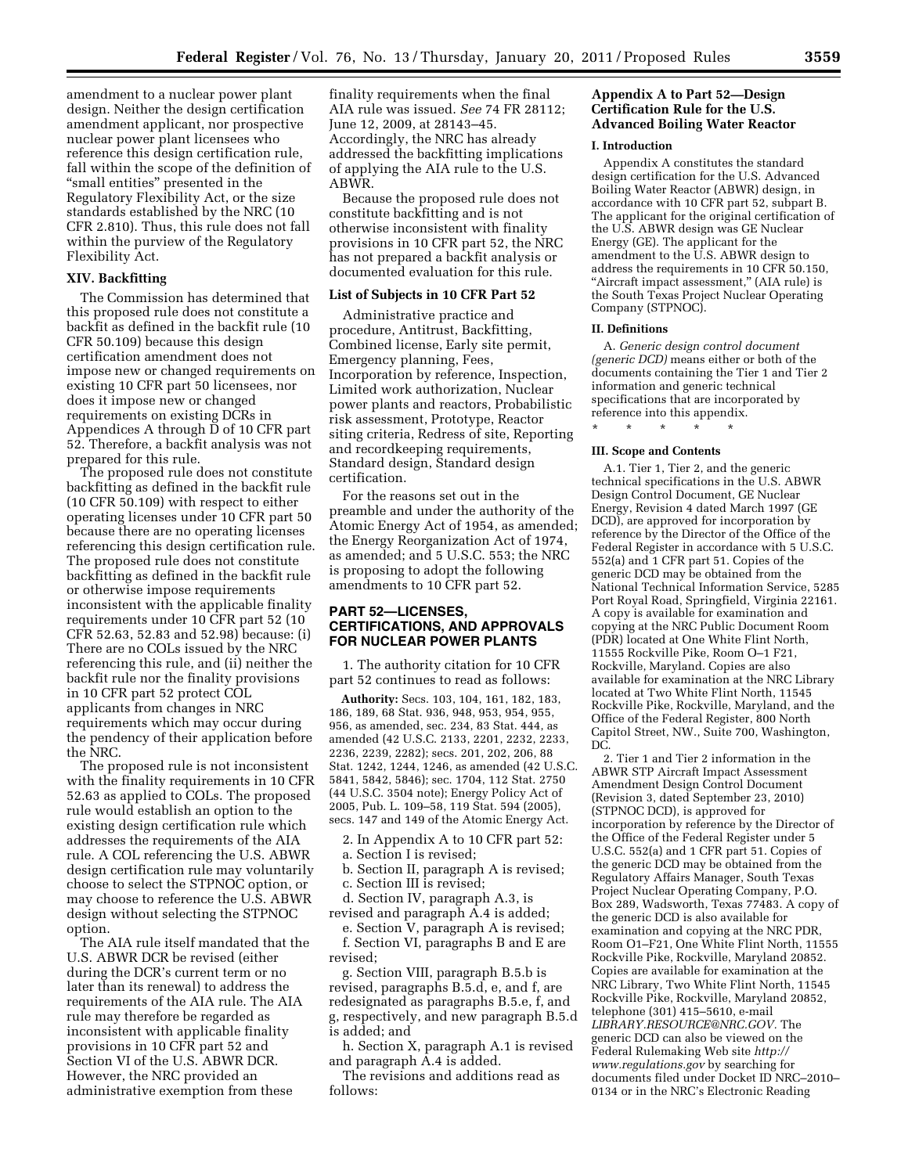amendment to a nuclear power plant design. Neither the design certification amendment applicant, nor prospective nuclear power plant licensees who reference this design certification rule, fall within the scope of the definition of ''small entities'' presented in the Regulatory Flexibility Act, or the size standards established by the NRC (10 CFR 2.810). Thus, this rule does not fall within the purview of the Regulatory Flexibility Act.

### **XIV. Backfitting**

The Commission has determined that this proposed rule does not constitute a backfit as defined in the backfit rule (10 CFR 50.109) because this design certification amendment does not impose new or changed requirements on existing 10 CFR part 50 licensees, nor does it impose new or changed requirements on existing DCRs in Appendices A through D of 10 CFR part 52. Therefore, a backfit analysis was not prepared for this rule.

The proposed rule does not constitute backfitting as defined in the backfit rule (10 CFR 50.109) with respect to either operating licenses under 10 CFR part 50 because there are no operating licenses referencing this design certification rule. The proposed rule does not constitute backfitting as defined in the backfit rule or otherwise impose requirements inconsistent with the applicable finality requirements under 10 CFR part 52 (10 CFR 52.63, 52.83 and 52.98) because: (i) There are no COLs issued by the NRC referencing this rule, and (ii) neither the backfit rule nor the finality provisions in 10 CFR part 52 protect COL applicants from changes in NRC requirements which may occur during the pendency of their application before the NRC.

The proposed rule is not inconsistent with the finality requirements in 10 CFR 52.63 as applied to COLs. The proposed rule would establish an option to the existing design certification rule which addresses the requirements of the AIA rule. A COL referencing the U.S. ABWR design certification rule may voluntarily choose to select the STPNOC option, or may choose to reference the U.S. ABWR design without selecting the STPNOC option.

The AIA rule itself mandated that the U.S. ABWR DCR be revised (either during the DCR's current term or no later than its renewal) to address the requirements of the AIA rule. The AIA rule may therefore be regarded as inconsistent with applicable finality provisions in 10 CFR part 52 and Section VI of the U.S. ABWR DCR. However, the NRC provided an administrative exemption from these

finality requirements when the final AIA rule was issued. *See* 74 FR 28112; June 12, 2009, at 28143–45. Accordingly, the NRC has already addressed the backfitting implications of applying the AIA rule to the U.S. ABWR.

Because the proposed rule does not constitute backfitting and is not otherwise inconsistent with finality provisions in 10 CFR part 52, the NRC has not prepared a backfit analysis or documented evaluation for this rule.

#### **List of Subjects in 10 CFR Part 52**

Administrative practice and procedure, Antitrust, Backfitting, Combined license, Early site permit, Emergency planning, Fees, Incorporation by reference, Inspection, Limited work authorization, Nuclear power plants and reactors, Probabilistic risk assessment, Prototype, Reactor siting criteria, Redress of site, Reporting and recordkeeping requirements, Standard design, Standard design certification.

For the reasons set out in the preamble and under the authority of the Atomic Energy Act of 1954, as amended; the Energy Reorganization Act of 1974, as amended; and 5 U.S.C. 553; the NRC is proposing to adopt the following amendments to 10 CFR part 52.

## **PART 52—LICENSES, CERTIFICATIONS, AND APPROVALS FOR NUCLEAR POWER PLANTS**

1. The authority citation for 10 CFR part 52 continues to read as follows:

**Authority:** Secs. 103, 104, 161, 182, 183, 186, 189, 68 Stat. 936, 948, 953, 954, 955, 956, as amended, sec. 234, 83 Stat. 444, as amended (42 U.S.C. 2133, 2201, 2232, 2233, 2236, 2239, 2282); secs. 201, 202, 206, 88 Stat. 1242, 1244, 1246, as amended (42 U.S.C. 5841, 5842, 5846); sec. 1704, 112 Stat. 2750 (44 U.S.C. 3504 note); Energy Policy Act of 2005, Pub. L. 109–58, 119 Stat. 594 (2005), secs. 147 and 149 of the Atomic Energy Act.

- 2. In Appendix A to 10 CFR part 52:
- a. Section I is revised;
- b. Section II, paragraph A is revised; c. Section III is revised;

d. Section IV, paragraph A.3, is revised and paragraph A.4 is added;

e. Section V, paragraph A is revised; f. Section VI, paragraphs B and E are revised;

g. Section VIII, paragraph B.5.b is revised, paragraphs B.5.d, e, and f, are redesignated as paragraphs B.5.e, f, and g, respectively, and new paragraph B.5.d is added; and

h. Section X, paragraph A.1 is revised and paragraph A.4 is added.

The revisions and additions read as follows:

## **Appendix A to Part 52—Design Certification Rule for the U.S. Advanced Boiling Water Reactor**

#### **I. Introduction**

Appendix A constitutes the standard design certification for the U.S. Advanced Boiling Water Reactor (ABWR) design, in accordance with 10 CFR part 52, subpart B. The applicant for the original certification of the U.S. ABWR design was GE Nuclear Energy (GE). The applicant for the amendment to the U.S. ABWR design to address the requirements in 10 CFR 50.150, ''Aircraft impact assessment,'' (AIA rule) is the South Texas Project Nuclear Operating Company (STPNOC).

#### **II. Definitions**

A. *Generic design control document (generic DCD)* means either or both of the documents containing the Tier 1 and Tier 2 information and generic technical specifications that are incorporated by reference into this appendix.

## \* \* \* \* \* **III. Scope and Contents**

A.1. Tier 1, Tier 2, and the generic technical specifications in the U.S. ABWR Design Control Document, GE Nuclear Energy, Revision 4 dated March 1997 (GE DCD), are approved for incorporation by reference by the Director of the Office of the Federal Register in accordance with 5 U.S.C. 552(a) and 1 CFR part 51. Copies of the generic DCD may be obtained from the National Technical Information Service, 5285 Port Royal Road, Springfield, Virginia 22161. A copy is available for examination and copying at the NRC Public Document Room (PDR) located at One White Flint North, 11555 Rockville Pike, Room O–1 F21, Rockville, Maryland. Copies are also available for examination at the NRC Library located at Two White Flint North, 11545 Rockville Pike, Rockville, Maryland, and the Office of the Federal Register, 800 North Capitol Street, NW., Suite 700, Washington, DC.

2. Tier 1 and Tier 2 information in the ABWR STP Aircraft Impact Assessment Amendment Design Control Document (Revision 3, dated September 23, 2010) (STPNOC DCD), is approved for incorporation by reference by the Director of the Office of the Federal Register under 5 U.S.C. 552(a) and 1 CFR part 51. Copies of the generic DCD may be obtained from the Regulatory Affairs Manager, South Texas Project Nuclear Operating Company, P.O. Box 289, Wadsworth, Texas 77483. A copy of the generic DCD is also available for examination and copying at the NRC PDR, Room O1–F21, One White Flint North, 11555 Rockville Pike, Rockville, Maryland 20852. Copies are available for examination at the NRC Library, Two White Flint North, 11545 Rockville Pike, Rockville, Maryland 20852, telephone (301) 415–5610, e-mail *[LIBRARY.RESOURCE@NRC.GOV.](mailto:LIBRARY.RESOURCE@NRC.GOV)* The generic DCD can also be viewed on the Federal Rulemaking Web site *[http://](http://www.regulations.gov) [www.regulations.gov](http://www.regulations.gov)* by searching for documents filed under Docket ID NRC–2010– 0134 or in the NRC's Electronic Reading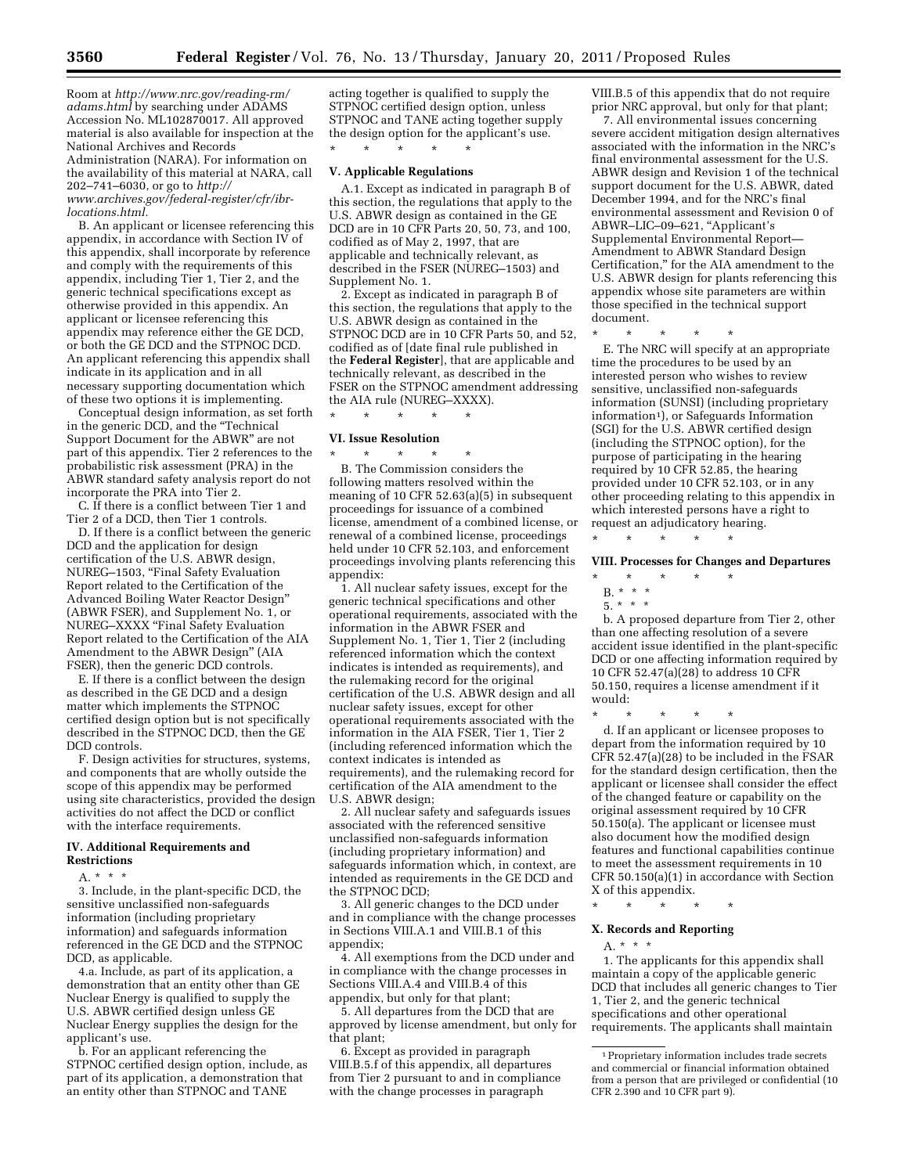Room at *[http://www.nrc.gov/reading-rm/](http://www.nrc.gov/reading-rm/adams.html) [adams.html](http://www.nrc.gov/reading-rm/adams.html)* by searching under ADAMS Accession No. ML102870017. All approved material is also available for inspection at the National Archives and Records Administration (NARA). For information on the availability of this material at NARA, call 202–741–6030, or go to *[http://](http://www.archives.gov/federal-register/cfr/ibr-locations.html) [www.archives.gov/federal-register/cfr/ibr](http://www.archives.gov/federal-register/cfr/ibr-locations.html)[locations.html.](http://www.archives.gov/federal-register/cfr/ibr-locations.html)* 

B. An applicant or licensee referencing this appendix, in accordance with Section IV of this appendix, shall incorporate by reference and comply with the requirements of this appendix, including Tier 1, Tier 2, and the generic technical specifications except as otherwise provided in this appendix. An applicant or licensee referencing this appendix may reference either the GE DCD, or both the GE DCD and the STPNOC DCD. An applicant referencing this appendix shall indicate in its application and in all necessary supporting documentation which of these two options it is implementing.

Conceptual design information, as set forth in the generic DCD, and the ''Technical Support Document for the ABWR'' are not part of this appendix. Tier 2 references to the probabilistic risk assessment (PRA) in the ABWR standard safety analysis report do not incorporate the PRA into Tier 2.

C. If there is a conflict between Tier 1 and Tier 2 of a DCD, then Tier 1 controls.

D. If there is a conflict between the generic DCD and the application for design certification of the U.S. ABWR design, NUREG–1503, ''Final Safety Evaluation Report related to the Certification of the Advanced Boiling Water Reactor Design'' (ABWR FSER), and Supplement No. 1, or NUREG–XXXX ''Final Safety Evaluation Report related to the Certification of the AIA Amendment to the ABWR Design'' (AIA FSER), then the generic DCD controls.

E. If there is a conflict between the design as described in the GE DCD and a design matter which implements the STPNOC certified design option but is not specifically described in the STPNOC DCD, then the GE DCD controls.

F. Design activities for structures, systems, and components that are wholly outside the scope of this appendix may be performed using site characteristics, provided the design activities do not affect the DCD or conflict with the interface requirements.

#### **IV. Additional Requirements and Restrictions**

 $A. * * * *$ 

3. Include, in the plant-specific DCD, the sensitive unclassified non-safeguards information (including proprietary information) and safeguards information referenced in the GE DCD and the STPNOC DCD, as applicable.

4.a. Include, as part of its application, a demonstration that an entity other than GE Nuclear Energy is qualified to supply the U.S. ABWR certified design unless GE Nuclear Energy supplies the design for the applicant's use.

b. For an applicant referencing the STPNOC certified design option, include, as part of its application, a demonstration that an entity other than STPNOC and TANE

acting together is qualified to supply the STPNOC certified design option, unless STPNOC and TANE acting together supply the design option for the applicant's use. \* \* \* \* \*

#### **V. Applicable Regulations**

A.1. Except as indicated in paragraph B of this section, the regulations that apply to the U.S. ABWR design as contained in the GE DCD are in 10 CFR Parts 20, 50, 73, and 100, codified as of May 2, 1997, that are applicable and technically relevant, as described in the FSER (NUREG–1503) and Supplement No. 1.

2. Except as indicated in paragraph B of this section, the regulations that apply to the U.S. ABWR design as contained in the STPNOC DCD are in 10 CFR Parts 50, and 52, codified as of [date final rule published in the **Federal Register**], that are applicable and technically relevant, as described in the FSER on the STPNOC amendment addressing the AIA rule (NUREG–XXXX). \* \* \* \* \*

## **VI. Issue Resolution**

\* \* \* \* \* B. The Commission considers the following matters resolved within the meaning of 10 CFR 52.63(a)(5) in subsequent proceedings for issuance of a combined license, amendment of a combined license, or renewal of a combined license, proceedings held under 10 CFR 52.103, and enforcement proceedings involving plants referencing this appendix:

1. All nuclear safety issues, except for the generic technical specifications and other operational requirements, associated with the information in the ABWR FSER and Supplement No. 1, Tier 1, Tier 2 (including referenced information which the context indicates is intended as requirements), and the rulemaking record for the original certification of the U.S. ABWR design and all nuclear safety issues, except for other operational requirements associated with the information in the AIA FSER, Tier 1, Tier 2 (including referenced information which the context indicates is intended as requirements), and the rulemaking record for certification of the AIA amendment to the U.S. ABWR design;

2. All nuclear safety and safeguards issues associated with the referenced sensitive unclassified non-safeguards information (including proprietary information) and safeguards information which, in context, are intended as requirements in the GE DCD and the STPNOC DCD;

3. All generic changes to the DCD under and in compliance with the change processes in Sections VIII.A.1 and VIII.B.1 of this appendix;

4. All exemptions from the DCD under and in compliance with the change processes in Sections VIII.A.4 and VIII.B.4 of this appendix, but only for that plant;

5. All departures from the DCD that are approved by license amendment, but only for that plant;

6. Except as provided in paragraph VIII.B.5.f of this appendix, all departures from Tier 2 pursuant to and in compliance with the change processes in paragraph

VIII.B.5 of this appendix that do not require prior NRC approval, but only for that plant;

7. All environmental issues concerning severe accident mitigation design alternatives associated with the information in the NRC's final environmental assessment for the U.S. ABWR design and Revision 1 of the technical support document for the U.S. ABWR, dated December 1994, and for the NRC's final environmental assessment and Revision 0 of ABWR–LIC–09–621, ''Applicant's Supplemental Environmental Report— Amendment to ABWR Standard Design Certification,'' for the AIA amendment to the U.S. ABWR design for plants referencing this appendix whose site parameters are within those specified in the technical support document.

\* \* \* \* \*

E. The NRC will specify at an appropriate time the procedures to be used by an interested person who wishes to review sensitive, unclassified non-safeguards information (SUNSI) (including proprietary information<sup>1</sup>), or Safeguards Information (SGI) for the U.S. ABWR certified design (including the STPNOC option), for the purpose of participating in the hearing required by 10 CFR 52.85, the hearing provided under 10 CFR 52.103, or in any other proceeding relating to this appendix in which interested persons have a right to request an adjudicatory hearing.

#### **VIII. Processes for Changes and Departures**

\* \* \* \* \*

\* \* \* \* \*

- B. \* \* \*
- $\frac{1}{5}$ . \* \* \*

b. A proposed departure from Tier 2, other than one affecting resolution of a severe accident issue identified in the plant-specific DCD or one affecting information required by 10 CFR 52.47(a)(28) to address 10 CFR 50.150, requires a license amendment if it would:

\* \* \* \* \*

d. If an applicant or licensee proposes to depart from the information required by 10 CFR 52.47(a)(28) to be included in the FSAR for the standard design certification, then the applicant or licensee shall consider the effect of the changed feature or capability on the original assessment required by 10 CFR 50.150(a). The applicant or licensee must also document how the modified design features and functional capabilities continue to meet the assessment requirements in 10 CFR 50.150(a)(1) in accordance with Section X of this appendix.

# \* \* \* \* \* **X. Records and Reporting**

## A. \* \* \*

1. The applicants for this appendix shall maintain a copy of the applicable generic DCD that includes all generic changes to Tier 1, Tier 2, and the generic technical specifications and other operational requirements. The applicants shall maintain

<sup>1</sup>Proprietary information includes trade secrets and commercial or financial information obtained from a person that are privileged or confidential (10 CFR 2.390 and 10 CFR part 9).